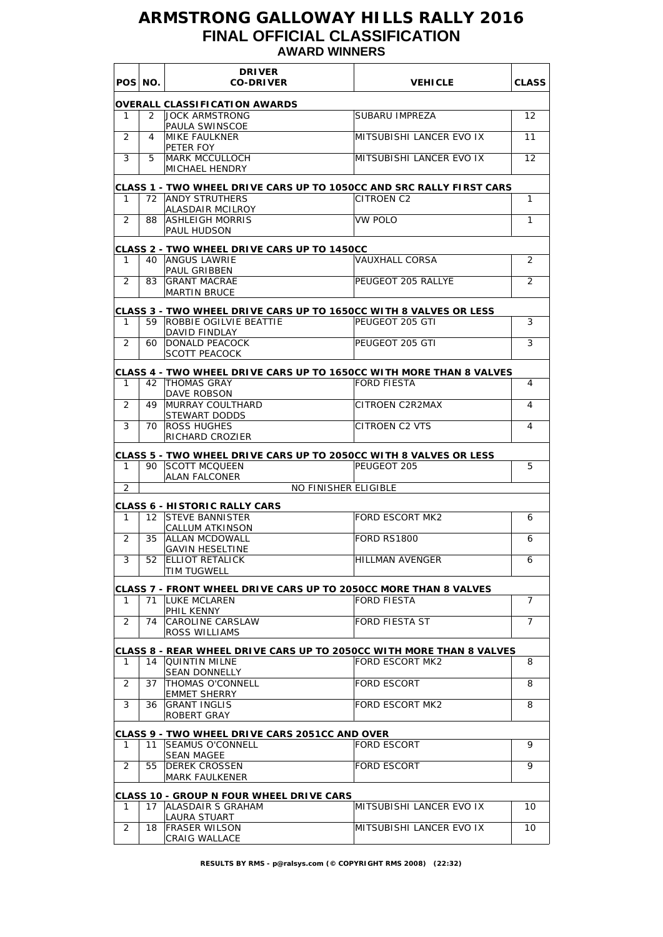# **ARMSTRONG GALLOWAY HILLS RALLY 2016 FINAL OFFICIAL CLASSIFICATION AWARD WINNERS**

|                | POS NO.         | <b>DRIVER</b><br><b>CO-DRIVER</b>                                                          | <b>VEHICLE</b>           | <b>CLASS</b>   |
|----------------|-----------------|--------------------------------------------------------------------------------------------|--------------------------|----------------|
|                |                 | <b>OVERALL CLASSIFICATION AWARDS</b>                                                       |                          |                |
| 1              | 2               | <b>JOCK ARMSTRONG</b>                                                                      | SUBARU IMPREZA           | 12             |
| 2              | 4               | PAULA SWINSCOE<br><b>MIKE FAULKNER</b>                                                     | MITSUBISHI LANCER EVO IX | 11             |
|                |                 | PETER FOY                                                                                  |                          |                |
| 3              | 5               | <b>MARK MCCULLOCH</b>                                                                      | MITSUBISHI LANCER EVO IX | 12             |
|                |                 | MICHAEL HENDRY                                                                             |                          |                |
| 1              |                 | CLASS 1 - TWO WHEEL DRIVE CARS UP TO 1050CC AND SRC RALLY FIRST CARS<br>72 ANDY STRUTHERS  | CITROEN C2               | 1              |
|                |                 | ALASDAIR MCILROY                                                                           |                          |                |
| 2              | 88              | ASHLEIGH MORRIS                                                                            | <b>VW POLO</b>           | 1              |
|                |                 | PAUL HUDSON                                                                                |                          |                |
|                |                 | <b>CLASS 2 - TWO WHEEL DRIVE CARS UP TO 1450CC</b>                                         |                          |                |
| 1              | 40              | <b>ANGUS LAWRIE</b><br>PAUL GRIBBEN                                                        | VAUXHALL CORSA           | 2              |
| $\overline{2}$ | 83              | <b>GRANT MACRAE</b>                                                                        | PEUGEOT 205 RALLYE       | $\overline{2}$ |
|                |                 | <b>MARTIN BRUCE</b>                                                                        |                          |                |
|                |                 | CLASS 3 - TWO WHEEL DRIVE CARS UP TO 1650CC WITH 8 VALVES OR LESS                          |                          |                |
| 1              | 59              | ROBBIE OGILVIE BEATTIE<br>DAVID FINDLAY                                                    | PEUGEOT 205 GTI          | 3              |
| 2              | 60              | <b>DONALD PEACOCK</b>                                                                      | PEUGEOT 205 GTI          | 3              |
|                |                 | <b>SCOTT PEACOCK</b>                                                                       |                          |                |
|                |                 | CLASS 4 - TWO WHEEL DRIVE CARS UP TO 1650CC WITH MORE THAN 8 VALVES                        |                          |                |
| 1              |                 | 42   THOMAS GRAY<br>DAVE ROBSON                                                            | <b>FORD FIESTA</b>       | 4              |
| 2              | 49              | MURRAY COULTHARD                                                                           | CITROEN C2R2MAX          | 4              |
|                |                 | STEWART DODDS                                                                              |                          |                |
| 3              | 70              | <b>ROSS HUGHES</b><br>RICHARD CROZIER                                                      | CITROEN C2 VTS           | 4              |
|                |                 |                                                                                            |                          |                |
| 1              | 90              | CLASS 5 - TWO WHEEL DRIVE CARS UP TO 2050CC WITH 8 VALVES OR LESS<br><b>ISCOTT MCQUEEN</b> | PEUGEOT 205              | 5              |
|                |                 | <b>ALAN FALCONER</b>                                                                       |                          |                |
| 2              |                 | <b>NO FINISHER ELIGIBLE</b>                                                                |                          |                |
| 1              | 12 <sup>2</sup> | <b>CLASS 6 - HISTORIC RALLY CARS</b><br><b>STEVE BANNISTER</b>                             | <b>FORD ESCORT MK2</b>   | 6              |
|                |                 | CALLUM ATKINSON                                                                            |                          |                |
| 2              | 35              | <b>ALLAN MCDOWALL</b>                                                                      | <b>FORD RS1800</b>       | 6              |
| 3              |                 | <b>GAVIN HESELTINE</b><br>52 ELLIOT RETALICK                                               | <b>HILLMAN AVENGER</b>   | 6              |
|                |                 | TIM TUGWELL                                                                                |                          |                |
|                |                 | CLASS 7 - FRONT WHEEL DRIVE CARS UP TO 2050CC MORE THAN 8 VALVES                           |                          |                |
| 1              |                 | 71   LUKE MCLAREN                                                                          | <b>FORD FIESTA</b>       | $\overline{7}$ |
| $\overline{2}$ | 74              | PHIL KENNY<br>CAROLINE CARSLAW                                                             | FORD FIESTA ST           | $\overline{7}$ |
|                |                 | <b>ROSS WILLIAMS</b>                                                                       |                          |                |
|                |                 | CLASS 8 - REAR WHEEL DRIVE CARS UP TO 2050CC WITH MORE THAN 8 VALVES                       |                          |                |
| 1              |                 | 14   QUINTIN MILNE                                                                         | <b>FORD ESCORT MK2</b>   | 8              |
|                |                 | <b>SEAN DONNELLY</b>                                                                       |                          |                |
| 2              | 37              | <b>THOMAS O'CONNELL</b><br><b>EMMET SHERRY</b>                                             | <b>FORD ESCORT</b>       | 8              |
| 3              | 36              | <b>GRANT INGLIS</b>                                                                        | FORD ESCORT MK2          | 8              |
|                |                 | ROBERT GRAY                                                                                |                          |                |
|                |                 | <b>CLASS 9 - TWO WHEEL DRIVE CARS 2051CC AND OVER</b>                                      |                          |                |
| 1              | 11              | <b>SEAMUS O'CONNELL</b><br><b>SEAN MAGEE</b>                                               | <b>FORD ESCORT</b>       | 9              |
| 2              | 55              | <b>IDEREK CROSSEN</b>                                                                      | <b>FORD ESCORT</b>       | 9              |
|                |                 | <b>MARK FAULKENER</b>                                                                      |                          |                |
|                |                 | CLASS 10 - GROUP N FOUR WHEEL DRIVE CARS                                                   |                          |                |
| 1              |                 | 17 ALASDAIR S GRAHAM                                                                       | MITSUBISHI LANCER EVO IX | 10             |
| 2              | 18              | <b>LAURA STUART</b><br><b>FRASER WILSON</b>                                                | MITSUBISHI LANCER EVO IX | 10             |
|                |                 | CRAIG WALLACE                                                                              |                          |                |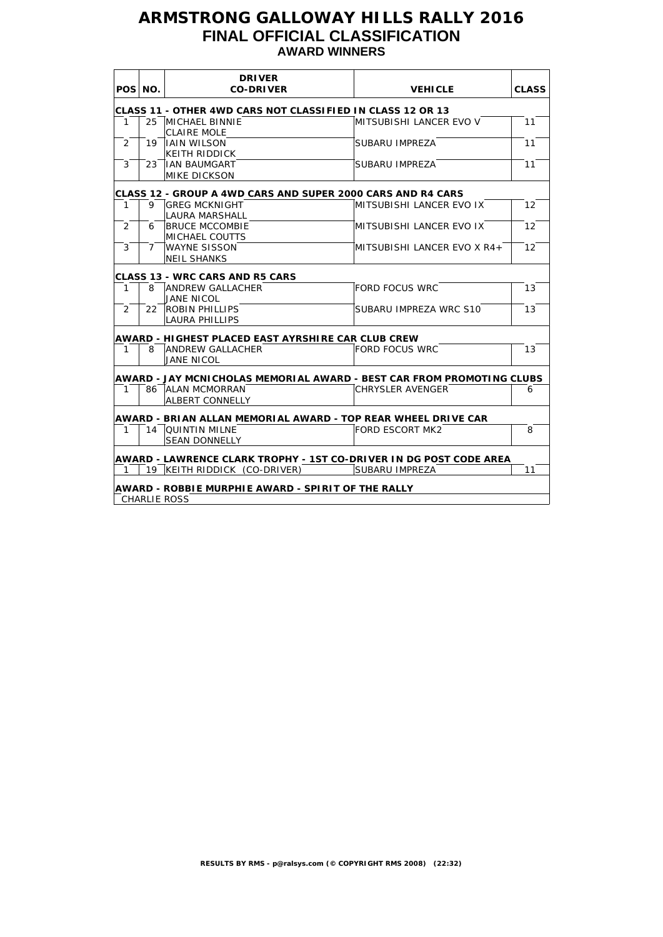# **ARMSTRONG GALLOWAY HILLS RALLY 2016 FINAL OFFICIAL CLASSIFICATION AWARD WINNERS**

|              |             | <b>DRIVER</b><br><b>CO-DRIVER</b><br><b>VEHICLE</b>                   |                             |                   |
|--------------|-------------|-----------------------------------------------------------------------|-----------------------------|-------------------|
|              | POS NO.     |                                                                       |                             | <b>CLASS</b>      |
|              |             | CLASS 11 - OTHER 4WD CARS NOT CLASSIFIED IN CLASS 12 OR 13            |                             |                   |
| $\mathbf{1}$ |             | 25 MICHAEL BINNIE                                                     | MITSUBISHI LANCER EVO V     | 11                |
|              |             | <b>CLAIRE MOLE</b>                                                    |                             |                   |
| 2            |             | 19 IAIN WILSON                                                        | SUBARU IMPREZA              | 11                |
|              |             | <b>KEITH RIDDICK</b>                                                  |                             |                   |
| 3            | 23          | <b>IAN BAUMGART</b>                                                   | SUBARU IMPREZA              | 11                |
|              |             | <b>MIKE DICKSON</b>                                                   |                             |                   |
|              |             | CLASS 12 - GROUP A 4WD CARS AND SUPER 2000 CARS AND R4 CARS           |                             |                   |
| $\mathbf{1}$ |             | 9 GREG MCKNIGHT                                                       | MITSUBISHI LANCER EVO IX    | $12 \overline{ }$ |
|              |             | <b>LAURA MARSHALL</b>                                                 |                             |                   |
| 2            | 6           | <b>BRUCE MCCOMBIE</b>                                                 | MITSUBISHI LANCER EVO IX    | 12                |
|              |             | <b>MICHAEL COUTTS</b>                                                 |                             |                   |
| 3            | $7^{\circ}$ | <b>WAYNE SISSON</b>                                                   | MITSUBISHI LANCER EVO X R4+ | 12                |
|              |             | <b>NEIL SHANKS</b>                                                    |                             |                   |
|              |             | <b>CLASS 13 - WRC CARS AND R5 CARS</b>                                |                             |                   |
| 1            | 8           | <b>ANDREW GALLACHER</b>                                               | <b>FORD FOCUS WRC</b>       | 13                |
|              |             | JANE NICOL                                                            |                             |                   |
| 2            |             | 22 ROBIN PHILLIPS                                                     | SUBARU IMPREZA WRC S10      | 13                |
|              |             | <b>LAURA PHILLIPS</b>                                                 |                             |                   |
|              |             | AWARD - HIGHEST PLACED EAST AYRSHIRE CAR CLUB CREW                    |                             |                   |
| $\mathbf{1}$ | 8           | <b>ANDREW GALLACHER</b>                                               | <b>FORD FOCUS WRC</b>       | 13                |
|              |             | <b>JANE NICOL</b>                                                     |                             |                   |
|              |             | AWARD - JAY MCNICHOLAS MEMORIAL AWARD - BEST CAR FROM PROMOTING CLUBS |                             |                   |
| $\mathbf{1}$ |             | 86 ALAN MCMORRAN                                                      | <b>CHRYSLER AVENGER</b>     | 6                 |
|              |             | <b>ALBERT CONNELLY</b>                                                |                             |                   |
|              |             |                                                                       |                             |                   |
|              |             | AWARD - BRIAN ALLAN MEMORIAL AWARD - TOP REAR WHEEL DRIVE CAR         |                             |                   |
| 1            |             | 14   QUINTIN MILNE                                                    | <b>FORD ESCORT MK2</b>      | 8                 |
|              |             | <b>SEAN DONNELLY</b>                                                  |                             |                   |
|              |             | AWARD - LAWRENCE CLARK TROPHY - 1ST CO-DRIVER IN DG POST CODE AREA    |                             |                   |
| 1            |             | 19 KEITH RIDDICK (CO-DRIVER)                                          | SUBARU IMPREZA              | 11                |
|              |             | <b>AWARD - ROBBIE MURPHIE AWARD - SPIRIT OF THE RALLY</b>             |                             |                   |
|              |             | <b>CHARLIE ROSS</b>                                                   |                             |                   |
|              |             |                                                                       |                             |                   |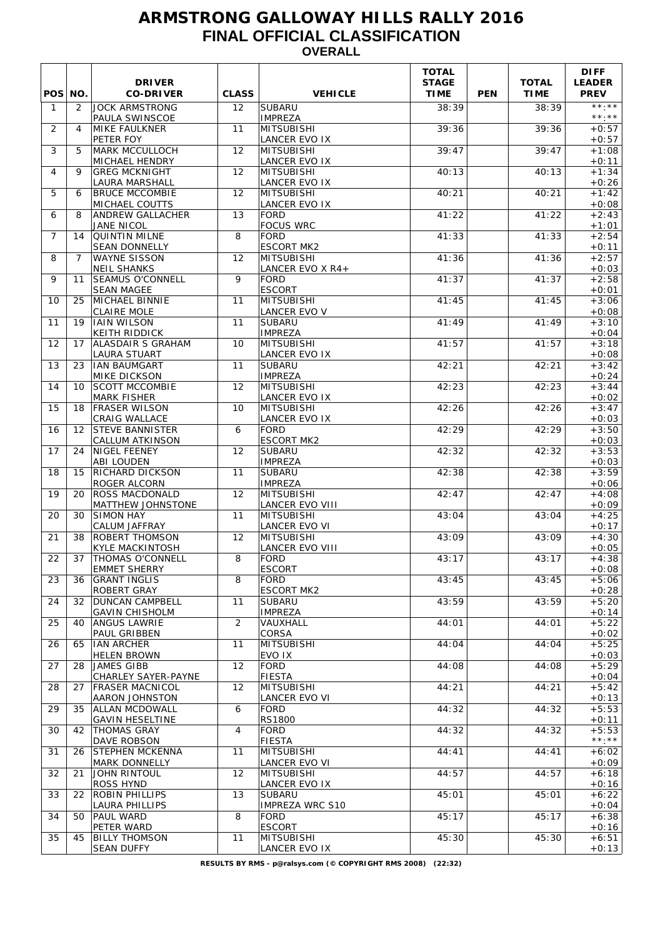# **ARMSTRONG GALLOWAY HILLS RALLY 2016 FINAL OFFICIAL CLASSIFICATION OVERALL**

| POS NO.        |                   | <b>DRIVER</b><br><b>CO-DRIVER</b>                 | <b>CLASS</b>      | <b>VEHICLE</b>                            | <b>TOTAL</b><br><b>STAGE</b><br><b>TIME</b> | <b>PEN</b> | <b>TOTAL</b><br><b>TIME</b> | <b>DIFF</b><br><b>LEADER</b><br><b>PREV</b> |
|----------------|-------------------|---------------------------------------------------|-------------------|-------------------------------------------|---------------------------------------------|------------|-----------------------------|---------------------------------------------|
| $\mathbf{1}$   | 2                 | <b>JOCK ARMSTRONG</b><br>PAULA SWINSCOE           | $12 \overline{ }$ | <b>SUBARU</b><br><b>IMPREZA</b>           | 38:39                                       |            | 38:39                       | $***.**$<br>$\star\star$ . $\star\star$     |
| 2              | 4                 | <b>MIKE FAULKNER</b><br>PETER FOY                 | 11                | <b>MITSUBISHI</b><br>LANCER EVO IX        | 39:36                                       |            | 39:36                       | $+0:57$<br>$+0:57$                          |
| 3              | 5                 | <b>MARK MCCULLOCH</b><br>MICHAEL HENDRY           | 12                | MITSUBISHI<br>LANCER EVO IX               | 39:47                                       |            | 39:47                       | $+1:08$<br>$+0:11$                          |
| 4              | 9                 | <b>GREG MCKNIGHT</b><br><b>LAURA MARSHALL</b>     | 12                | <b>MITSUBISHI</b><br><b>LANCER EVO IX</b> | 40:13                                       |            | 40:13                       | $+1:34$<br>$+0:26$                          |
| 5              | 6                 | <b>BRUCE MCCOMBIE</b><br>MICHAEL COUTTS           | 12                | MITSUBISHI<br><b>LANCER EVO IX</b>        | 40:21                                       |            | 40:21                       | $+1:42$<br>$+0:08$                          |
| 6              | 8                 | <b>ANDREW GALLACHER</b><br><b>JANE NICOL</b>      | 13                | <b>FORD</b><br><b>FOCUS WRC</b>           | 41:22                                       |            | 41:22                       | $+2:43$<br>$+1:01$                          |
| $\overline{7}$ | 14                | <b>QUINTIN MILNE</b><br><b>SEAN DONNELLY</b>      | 8                 | <b>FORD</b><br><b>ESCORT MK2</b>          | 41:33                                       |            | 41:33                       | $+2:54$<br>$+0:11$                          |
| 8              | $\overline{7}$    | <b>WAYNE SISSON</b><br><b>NEIL SHANKS</b>         | 12                | MITSUBISHI<br>LANCER EVO X R4+            | 41:36                                       |            | 41:36                       | $+2:57$<br>$+0:03$                          |
| 9              | 11                | <b>SEAMUS O'CONNELL</b><br><b>SEAN MAGEE</b>      | 9                 | <b>FORD</b><br><b>ESCORT</b>              | 41:37                                       |            | 41:37                       | $+2:58$<br>$+0:01$                          |
| 10             | 25                | MICHAEL BINNIE<br><b>CLAIRE MOLE</b>              | 11                | <b>MITSUBISHI</b><br><b>LANCER EVO V</b>  | 41:45                                       |            | 41:45                       | $+3:06$<br>$+0:08$                          |
| 11             | 19                | <b>IAIN WILSON</b><br><b>KEITH RIDDICK</b>        | 11                | <b>SUBARU</b><br><b>IMPREZA</b>           | 41:49                                       |            | 41:49                       | $+3:10$<br>$+0:04$                          |
| 12             | 17                | <b>ALASDAIR S GRAHAM</b><br>LAURA STUART          | 10                | <b>MITSUBISHI</b><br>LANCER EVO IX        | 41:57                                       |            | 41:57                       | $+3:18$<br>$+0:08$                          |
| 13             | 23                | <b>IAN BAUMGART</b><br><b>MIKE DICKSON</b>        | 11                | <b>SUBARU</b><br><b>IMPREZA</b>           | 42:21                                       |            | 42:21                       | $+3:42$<br>$+0:24$                          |
| 14             | 10                | <b>SCOTT MCCOMBIE</b><br><b>MARK FISHER</b>       | 12                | MITSUBISHI<br><b>LANCER EVO IX</b>        | 42:23                                       |            | 42:23                       | $+3:44$<br>$+0:02$                          |
| 15             | 18                | <b>FRASER WILSON</b><br><b>CRAIG WALLACE</b>      | 10                | MITSUBISHI<br><b>LANCER EVO IX</b>        | 42:26                                       |            | 42:26                       | $+3:47$<br>$+0:03$                          |
| 16             | $12 \overline{ }$ | <b>STEVE BANNISTER</b><br><b>CALLUM ATKINSON</b>  | 6                 | <b>FORD</b><br><b>ESCORT MK2</b>          | 42:29                                       |            | 42:29                       | $+3:50$<br>$+0:03$                          |
| 17             | 24                | NIGEL FEENEY<br>ABI LOUDEN                        | 12                | <b>SUBARU</b><br><b>IMPREZA</b>           | 42:32                                       |            | 42:32                       | $+3:53$<br>$+0:03$                          |
| 18             | 15                | <b>RICHARD DICKSON</b><br>ROGER ALCORN            | 11                | <b>SUBARU</b><br><b>IMPREZA</b>           | 42:38                                       |            | 42:38                       | $+3:59$<br>$+0:06$                          |
| 19             | 20                | <b>ROSS MACDONALD</b><br><b>MATTHEW JOHNSTONE</b> | 12                | MITSUBISHI<br><b>LANCER EVO VIII</b>      | 42:47                                       |            | 42:47                       | $+4:08$<br>$+0:09$                          |
| 20             | 30                | <b>SIMON HAY</b><br><b>CALUM JAFFRAY</b>          | 11                | MITSUBISHI<br>LANCER EVO VI               | 43:04                                       |            | 43:04                       | $+4:25$<br>$+0:17$                          |
| 21             | 38                | ROBERT THOMSON<br><b>KYLE MACKINTOSH</b>          | $12 \overline{ }$ | MITSUBISHI<br><b>LANCER EVO VIII</b>      | 43:09                                       |            | 43:09                       | $+4:30$<br>$+0:05$                          |
| 22             | 37                | <b>THOMAS O'CONNELL</b><br><b>EMMET SHERRY</b>    | 8                 | FORD<br><b>ESCORT</b>                     | 43:17                                       |            | 43:17                       | $+4:38$<br>$+0:08$                          |
| 23             | 36                | <b>GRANT INGLIS</b><br>ROBERT GRAY                | 8                 | <b>FORD</b><br><b>ESCORT MK2</b>          | 43:45                                       |            | 43:45                       | $+5:06$<br>$+0:28$                          |
| 24             | 32                | <b>DUNCAN CAMPBELL</b><br><b>GAVIN CHISHOLM</b>   | 11                | <b>SUBARU</b><br><b>IMPREZA</b>           | 43:59                                       |            | 43:59                       | $+5:20$<br>$+0:14$                          |
| 25             | 40                | <b>ANGUS LAWRIE</b><br>PAUL GRIBBEN               | $\overline{2}$    | VAUXHALL<br><b>CORSA</b>                  | 44:01                                       |            | 44:01                       | $+5:22$<br>$+0:02$                          |
| 26             | 65                | <b>IAN ARCHER</b><br><b>HELEN BROWN</b>           | 11                | MITSUBISHI<br>EVO IX                      | 44:04                                       |            | 44:04                       | $+5:25$<br>$+0:03$                          |
| 27             | 28                | <b>JAMES GIBB</b><br>CHARLEY SAYER-PAYNE          | 12                | <b>FORD</b><br>FIESTA                     | 44:08                                       |            | 44:08                       | $+5:29$<br>$+0:04$                          |
| 28             | 27                | <b>FRASER MACNICOL</b><br><b>AARON JOHNSTON</b>   | $12 \overline{ }$ | MITSUBISHI<br>LANCER EVO VI               | 44:21                                       |            | 44:21                       | $+5:42$<br>$+0:13$                          |
| 29             | 35                | <b>ALLAN MCDOWALL</b><br><b>GAVIN HESELTINE</b>   | 6                 | <b>FORD</b><br><b>RS1800</b>              | 44:32                                       |            | 44:32                       | $+5:53$<br>$+0:11$                          |
| 30             | 42                | <b>THOMAS GRAY</b><br>DAVE ROBSON                 | 4                 | <b>FORD</b><br><b>FIESTA</b>              | 44:32                                       |            | 44:32                       | $+5:53$<br>$\star\star\cdot\star\star$      |
| 31             | 26                | <b>STEPHEN MCKENNA</b><br><b>MARK DONNELLY</b>    | 11                | <b>MITSUBISHI</b><br>LANCER EVO VI        | 44:41                                       |            | 44:41                       | $+6:02$<br>$+0:09$                          |
| 32             | 21                | <b>JOHN RINTOUL</b><br>ROSS HYND                  | 12                | MITSUBISHI<br>LANCER EVO IX               | 44:57                                       |            | 44:57                       | $+6:18$<br>$+0:16$                          |
| 33             | 22                | <b>ROBIN PHILLIPS</b><br><b>LAURA PHILLIPS</b>    | 13                | <b>SUBARU</b><br><b>IMPREZA WRC S10</b>   | 45:01                                       |            | 45:01                       | $+6:22$<br>$+0:04$                          |
| 34             | 50                | <b>PAUL WARD</b><br>PETER WARD                    | 8                 | <b>FORD</b><br><b>ESCORT</b>              | 45:17                                       |            | 45:17                       | $+6:38$<br>$+0:16$                          |
| 35             | 45                | <b>BILLY THOMSON</b><br><b>SEAN DUFFY</b>         | 11                | MITSUBISHI<br>LANCER EVO IX               | 45:30                                       |            | 45:30                       | $+6:51$<br>$+0:13$                          |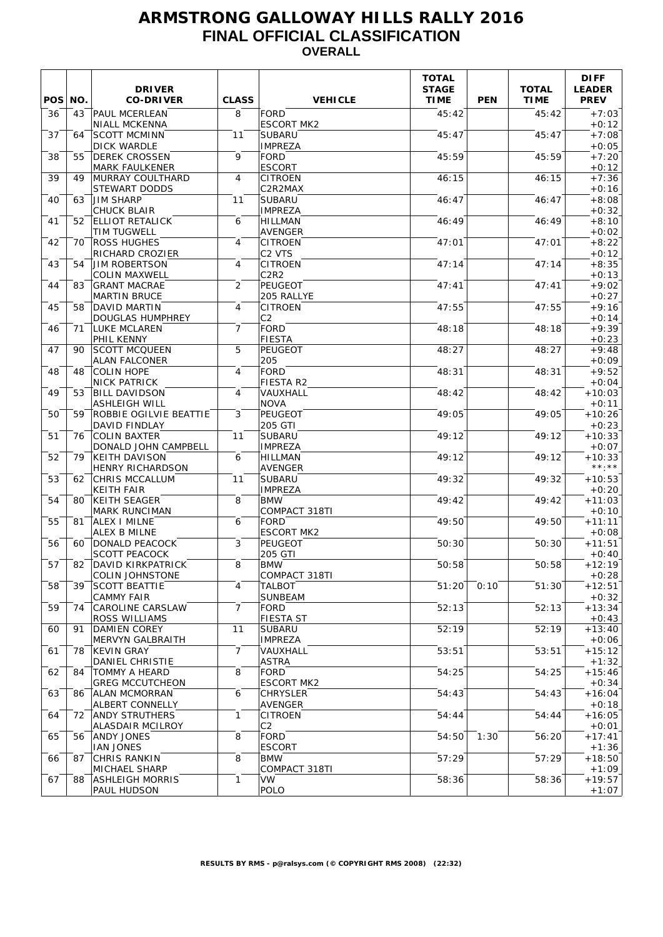# **ARMSTRONG GALLOWAY HILLS RALLY 2016 FINAL OFFICIAL CLASSIFICATION OVERALL**

| POS NO. |     | <b>DRIVER</b><br><b>CO-DRIVER</b>                              | <b>CLASS</b>   | <b>VEHICLE</b>                                    | <b>TOTAL</b><br><b>STAGE</b><br><b>TIME</b> | <b>PEN</b> | <b>TOTAL</b><br><b>TIME</b> | <b>DIFF</b><br><b>LEADER</b><br><b>PREV</b> |
|---------|-----|----------------------------------------------------------------|----------------|---------------------------------------------------|---------------------------------------------|------------|-----------------------------|---------------------------------------------|
| 36      | 43  | <b>PAUL MCERLEAN</b><br><b>NIALL MCKENNA</b>                   | 8              | <b>FORD</b><br><b>ESCORT MK2</b>                  | 45:42                                       |            | 45:42                       | $+7:03$<br>$+0:12$                          |
| 37      | 64  | SCOTT MCMINN<br><b>DICK WARDLE</b>                             | 11             | <b>SUBARU</b><br><b>IMPREZA</b>                   | 45:47                                       |            | 45:47                       | $+7:08$<br>$+0:05$                          |
| 38      | 55  | <b>DEREK CROSSEN</b><br><b>MARK FAULKENER</b>                  | 9              | <b>FORD</b><br><b>ESCORT</b>                      | 45:59                                       |            | 45:59                       | $+7:20$<br>$+0:12$                          |
| 39      | 49  | <b>IMURRAY COULTHARD</b><br>STEWART DODDS                      | $\overline{4}$ | <b>CITROEN</b><br>C2R2MAX                         | 46:15                                       |            | 46:15                       | $+7:36$<br>$+0:16$                          |
| 40      | 63  | <b>JIM SHARP</b><br><b>CHUCK BLAIR</b>                         | 11             | <b>SUBARU</b><br><b>IMPREZA</b>                   | 46:47                                       |            | 46:47                       | $+8:08$<br>$+0:32$                          |
| 41      | 52  | <b>ELLIOT RETALICK</b><br><b>TIM TUGWELL</b>                   | 6              | <b>HILLMAN</b><br><b>AVENGER</b>                  | 46:49                                       |            | 46:49                       | $+8:10$<br>$+0:02$                          |
| 42      | 70  | <b>ROSS HUGHES</b><br><b>RICHARD CROZIER</b>                   | 4              | <b>CITROEN</b><br>C <sub>2</sub> V <sub>TS</sub>  | 47:01                                       |            | 47:01                       | $+8:22$<br>$+0:12$                          |
| 43      | 54  | <b>JIM ROBERTSON</b><br><b>COLIN MAXWELL</b>                   | 4              | <b>CITROEN</b><br>C2R2                            | 47:14                                       |            | 47:14                       | $+8:35$<br>$+0:13$                          |
| 44      | 83  | <b>GRANT MACRAE</b><br><b>MARTIN BRUCE</b>                     | 2              | PEUGEOT<br>205 RALLYE                             | 47:41                                       |            | 47:41                       | $+9:02$<br>$+0:27$                          |
| 45      | 58  | DAVID MARTIN<br><b>DOUGLAS HUMPHREY</b>                        | 4              | <b>CITROEN</b><br>C <sub>2</sub>                  | 47:55                                       |            | 47:55                       | $+9:16$<br>$+0:14$                          |
| 46      | 71  | LUKE MCLAREN<br><b>PHIL KENNY</b>                              | 7              | FORD<br>FIESTA                                    | 48:18                                       |            | 48:18                       | $+9:39$<br>$+0:23$                          |
| 47      | 90. | SCOTT MCQUEEN<br><b>ALAN FALCONER</b>                          | 5              | <b>PEUGEOT</b><br>205                             | 48:27                                       |            | 48:27                       | $+9:48$<br>$+0:09$                          |
| 48      | 48  | <b>COLIN HOPE</b><br><b>NICK PATRICK</b>                       | 4              | FORD<br>FIESTA R2                                 | 48:31                                       |            | 48:31                       | $+9:52$<br>$+0:04$                          |
| 49      | 53  | <b>BILL DAVIDSON</b><br><b>ASHLEIGH WILL</b>                   | 4              | VAUXHALL<br><b>NOVA</b>                           | 48:42                                       |            | 48:42                       | $+10:03$                                    |
| 50      | 59  | ROBBIE OGILVIE BEATTIE<br>DAVID FINDLAY                        | 3              | <b>PEUGEOT</b><br>205 GTI                         | 49:05                                       |            | 49:05                       | $+0:11$<br>$+10:26$<br>$+0:23$              |
| 51      | 76  | <b>COLIN BAXTER</b><br>DONALD JOHN CAMPBELL                    | 11             | <b>SUBARU</b><br><b>IMPREZA</b>                   | 49:12                                       |            | 49:12                       | $+10:33$<br>$+0:07$                         |
| 52      | 79  | KEITH DAVISON                                                  | 6              | <b>HILLMAN</b>                                    | 49:12                                       |            | 49:12                       | $+10:33$<br>$\star\star\cdot\star\star$     |
| 53      | 62  | <b>HENRY RICHARDSON</b><br>CHRIS MCCALLUM<br><b>KEITH FAIR</b> | 11             | <b>AVENGER</b><br><b>SUBARU</b><br><b>IMPREZA</b> | 49:32                                       |            | 49:32                       | $+10:53$                                    |
| 54      | 80  | KEITH SEAGER                                                   | 8              | <b>BMW</b><br>COMPACT 318TI                       | 49:42                                       |            | 49:42                       | $+0:20$<br>$+11:03$                         |
| 55      | 81  | <b>MARK RUNCIMAN</b><br><b>ALEX I MILNE</b>                    | 6              | <b>FORD</b>                                       | 49:50                                       |            | 49:50                       | $+0:10$<br>$+11:11$                         |
| 56      | 60  | <b>ALEX B MILNE</b><br>DONALD PEACOCK                          | 3              | <b>ESCORT MK2</b><br>PEUGEOT                      | 50:30                                       |            | 50:30                       | $+0:08$<br>$+11:51$                         |
| 57      | 82  | <b>SCOTT PEACOCK</b><br>DAVID KIRKPATRICK                      | 8              | 205 GTI<br><b>BMW</b>                             | 50:58                                       |            | 50:58                       | $+0:40$<br>$+12:19$                         |
| 58      | 39  | <b>COLIN JOHNSTONE</b><br><b>SCOTT BEATTIE</b>                 | 4              | COMPACT 318TI<br><b>TALBOT</b>                    | 51:20                                       | 0:10       | 51:30                       | $+0:28$<br>$+12:51$                         |
| 59      | 74  | <b>CAMMY FAIR</b><br>CAROLINE CARSLAW                          | $\overline{7}$ | <b>SUNBEAM</b><br>FORD                            | 52:13                                       |            | 52:13                       | $+0:32$<br>$+13:34$                         |
| 60      | 91  | <b>ROSS WILLIAMS</b><br>DAMIEN COREY                           | 11             | FIESTA ST<br>SUBARU                               | 52:19                                       |            | 52:19                       | $+0:43$<br>$+13:40$                         |
| 61      | 78  | MERVYN GALBRAITH<br>KEVIN GRAY                                 | $\overline{7}$ | <b>IMPREZA</b><br>VAUXHALL                        | 53:51                                       |            | 53:51                       | $+0:06$<br>$+15:12$                         |
| 62      | 84  | <b>DANIEL CHRISTIE</b><br>TOMMY A HEARD                        | 8              | ASTRA<br>FORD                                     | 54:25                                       |            | 54:25                       | $+1:32$<br>$+15:46$                         |
| 63      |     | <b>GREG MCCUTCHEON</b><br>86   ALAN MCMORRAN                   | 6              | <b>ESCORT MK2</b><br><b>CHRYSLER</b>              | 54:43                                       |            | 54:43                       | $+0:34$<br>$+16:04$                         |
| 64      | 72  | <b>ALBERT CONNELLY</b><br>ANDY STRUTHERS                       | 1              | AVENGER<br><b>CITROEN</b>                         | 54:44                                       |            | 54:44                       | $+0:18$<br>$+16:05$                         |
| 65      |     | <b>ALASDAIR MCILROY</b><br>56 ANDY JONES                       | 8              | C2<br><b>FORD</b>                                 | 54:50                                       | 1:30       | 56:20                       | $+0:01$<br>$+17:41$                         |
| 66      | 87  | <b>IAN JONES</b><br>CHRIS RANKIN                               | 8              | <b>ESCORT</b><br><b>BMW</b>                       | 57:29                                       |            | 57:29                       | $+1:36$<br>$+18:50$                         |
| 67      | 88  | <b>MICHAEL SHARP</b><br><b>ASHLEIGH MORRIS</b>                 | $\mathbf{1}$   | COMPACT 318TI<br><b>VW</b>                        | 58:36                                       |            | 58:36                       | $+1:09$<br>$+19:57$                         |
|         |     | PAUL HUDSON                                                    |                | POLO                                              |                                             |            |                             | $+1:07$                                     |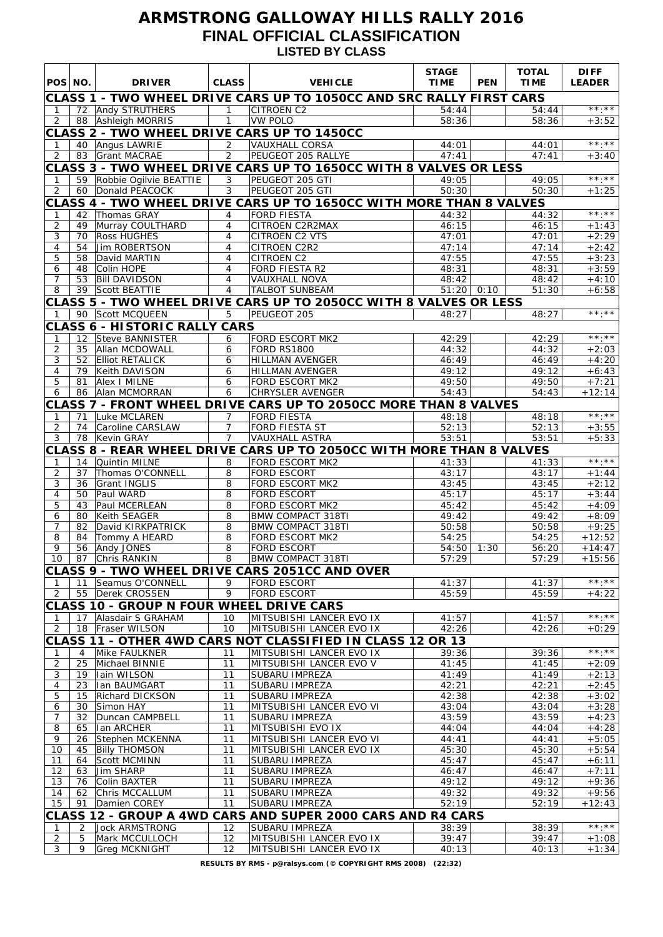# **ARMSTRONG GALLOWAY HILLS RALLY 2016 FINAL OFFICIAL CLASSIFICATION LISTED BY CLASS**

| POS NO.             |                                                                   | <b>DRIVER</b>                                                           | <b>CLASS</b>                     | <b>VEHICLE</b>                                                       | <b>STAGE</b><br><b>TIME</b> | <b>PEN</b> | <b>TOTAL</b><br><b>TIME</b> | <b>DIFF</b><br><b>LEADER</b> |  |  |
|---------------------|-------------------------------------------------------------------|-------------------------------------------------------------------------|----------------------------------|----------------------------------------------------------------------|-----------------------------|------------|-----------------------------|------------------------------|--|--|
|                     |                                                                   |                                                                         |                                  | CLASS 1 - TWO WHEEL DRIVE CARS UP TO 1050CC AND SRC RALLY FIRST CARS |                             |            |                             |                              |  |  |
| $\mathbf{1}$        |                                                                   | 72 Andy STRUTHERS                                                       | $\mathbf{1}$                     | <b>CITROEN C2</b>                                                    | 54:44                       |            | 54:44                       | $***$                        |  |  |
| 2                   |                                                                   | 88 Ashleigh MORRIS                                                      | $\mathbf{1}$                     | <b>VW POLO</b><br>CLASS 2 - TWO WHEEL DRIVE CARS UP TO 1450CC        | 58:36                       |            | 58:36                       | $+3:52$                      |  |  |
| $\mathbf 1$         |                                                                   | 40 Angus LAWRIE                                                         | $\overline{2}$                   | <b>VAUXHALL CORSA</b>                                                | 44:01                       |            | 44:01                       | $\star\star\cdot\star\star$  |  |  |
| 2                   |                                                                   | 83 Grant MACRAE                                                         | $\overline{2}$                   | PEUGEOT 205 RALLYE                                                   | 47:41                       |            | 47:41                       | $+3:40$                      |  |  |
|                     | CLASS 3 - TWO WHEEL DRIVE CARS UP TO 1650CC WITH 8 VALVES OR LESS |                                                                         |                                  |                                                                      |                             |            |                             |                              |  |  |
| $\mathbf{1}$        |                                                                   | 59 Robbie Ogilvie BEATTIE                                               | 3                                | PEUGEOT 205 GTI                                                      | 49:05                       |            | 49:05                       | $***.**$                     |  |  |
| 2                   |                                                                   | 60 Donald PEACOCK                                                       | 3                                | PEUGEOT 205 GTI                                                      | 50:30                       |            | 50:30                       | $+1:25$                      |  |  |
|                     |                                                                   |                                                                         |                                  | CLASS 4 - TWO WHEEL DRIVE CARS UP TO 1650CC WITH MORE THAN 8 VALVES  |                             |            |                             | $***.**$                     |  |  |
| 1<br>$\overline{2}$ | 42<br>49                                                          | Thomas GRAY<br>Murray COULTHARD                                         | 4<br>4                           | <b>FORD FIESTA</b><br>CITROEN C2R2MAX                                | 44:32<br>46:15              |            | 44:32<br>46:15              | $+1:43$                      |  |  |
| 3                   | 70                                                                | <b>Ross HUGHES</b>                                                      | $\overline{4}$                   | <b>CITROEN C2 VTS</b>                                                | 47:01                       |            | 47:01                       | $+2:29$                      |  |  |
| $\overline{4}$      | 54                                                                | Jim ROBERTSON                                                           | $\overline{4}$                   | CITROEN C2R2                                                         | 47:14                       |            | 47:14                       | $+2:42$                      |  |  |
| 5                   | 58                                                                | David MARTIN                                                            | $\overline{4}$                   | CITROEN C2                                                           | 47:55                       |            | 47:55                       | $+3:23$                      |  |  |
| 6                   | 48                                                                | Colin HOPE                                                              | $\overline{4}$                   | <b>FORD FIESTA R2</b>                                                | 48:31                       |            | 48:31                       | $+3:59$                      |  |  |
| $\overline{7}$<br>8 | 53                                                                | <b>Bill DAVIDSON</b><br>39 Scott BEATTIE                                | $\overline{4}$<br>$\overline{4}$ | <b>VAUXHALL NOVA</b><br><b>TALBOT SUNBEAM</b>                        | 48:42<br>$51:20$ 0:10       |            | 48:42<br>51:30              | $+4:10$<br>$+6:58$           |  |  |
|                     |                                                                   |                                                                         |                                  | CLASS 5 - TWO WHEEL DRIVE CARS UP TO 2050CC WITH 8 VALVES OR LESS    |                             |            |                             |                              |  |  |
| $\mathbf{1}$        |                                                                   | 90 Scott MCQUEEN                                                        | 5                                | PEUGEOT 205                                                          | 48:27                       |            | 48:27                       | $\star\star$ . $\star\star$  |  |  |
|                     |                                                                   | <b>CLASS 6 - HISTORIC RALLY CARS</b>                                    |                                  |                                                                      |                             |            |                             |                              |  |  |
| 1                   |                                                                   | 12 Steve BANNISTER                                                      | 6                                | FORD ESCORT MK2                                                      | 42:29                       |            | 42:29                       | $\star\star\cdot\star\star$  |  |  |
| $\overline{c}$      | 35                                                                | Allan MCDOWALL                                                          | 6                                | <b>FORD RS1800</b>                                                   | 44:32                       |            | 44:32                       | $+2:03$                      |  |  |
| 3                   | 52                                                                | <b>Elliot RETALICK</b>                                                  | 6                                | <b>HILLMAN AVENGER</b>                                               | 46:49                       |            | 46:49                       | $+4:20$                      |  |  |
| $\overline{4}$<br>5 | 79<br>81                                                          | Keith DAVISON<br>Alex I MILNE                                           | 6<br>6                           | <b>HILLMAN AVENGER</b><br><b>FORD ESCORT MK2</b>                     | 49:12<br>49:50              |            | 49:12<br>49:50              | $+6:43$<br>$+7:21$           |  |  |
| 6                   |                                                                   | 86 Alan MCMORRAN                                                        | 6                                | <b>CHRYSLER AVENGER</b>                                              | 54:43                       |            | 54:43                       | $+12:14$                     |  |  |
|                     |                                                                   |                                                                         |                                  | CLASS 7 - FRONT WHEEL DRIVE CARS UP TO 2050CC MORE THAN 8 VALVES     |                             |            |                             |                              |  |  |
| $\mathbf{1}$        | 71                                                                | Luke MCLAREN                                                            | 7                                | <b>FORD FIESTA</b>                                                   | 48:18                       |            | 48:18                       | $***$                        |  |  |
| $\overline{2}$      | 74                                                                | Caroline CARSLAW                                                        | $\overline{7}$                   | <b>FORD FIESTA ST</b>                                                | 52:13                       |            | 52:13                       | $+3:55$                      |  |  |
| 3                   |                                                                   | 78 Kevin GRAY                                                           | $\overline{7}$                   | <b>VAUXHALL ASTRA</b>                                                | 53:51                       |            | 53:51                       | $+5:33$                      |  |  |
|                     |                                                                   |                                                                         |                                  | CLASS 8 - REAR WHEEL DRIVE CARS UP TO 2050CC WITH MORE THAN 8 VALVES |                             |            |                             | $***$ . $***$                |  |  |
| 1<br>$\overline{2}$ | 14<br>37                                                          | Quintin MILNE<br>Thomas O'CONNELL                                       | 8<br>8                           | FORD ESCORT MK2<br><b>FORD ESCORT</b>                                | 41:33<br>43:17              |            | 41:33<br>43:17              | $+1:44$                      |  |  |
| 3                   | 36                                                                | Grant INGLIS                                                            | 8                                | <b>FORD ESCORT MK2</b>                                               | 43:45                       |            | 43:45                       | $+2:12$                      |  |  |
| $\overline{4}$      | 50                                                                | Paul WARD                                                               | 8                                | <b>FORD ESCORT</b>                                                   | 45:17                       |            | 45:17                       | $+3:44$                      |  |  |
| 5                   | 43                                                                | Paul MCERLEAN                                                           | 8                                | <b>FORD ESCORT MK2</b>                                               | 45:42                       |            | 45:42                       | $+4:09$                      |  |  |
| 6<br>7              | 80<br>82                                                          | Keith SEAGER<br>David KIRKPATRICK                                       | 8<br>8                           | <b>BMW COMPACT 318TI</b><br><b>BMW COMPACT 318TI</b>                 | 49:42<br>50:58              |            | 49:42<br>50:58              | $+8:09$<br>$+9:25$           |  |  |
| 8                   | 84                                                                | Tommy A HEARD                                                           | 8                                | <b>FORD ESCORT MK2</b>                                               | 54:25                       |            | 54:25                       | $+12:52$                     |  |  |
| 9                   | 56                                                                | Andy JONES                                                              | 8                                | <b>FORD ESCORT</b>                                                   | 54:50                       | 1:30       | 56:20                       | $+14:47$                     |  |  |
|                     |                                                                   | 10 87 Chris RANKIN                                                      |                                  | 8 BMW COMPACT 318TI                                                  | 57:29                       |            | 57:29                       | $+15:56$                     |  |  |
|                     |                                                                   |                                                                         |                                  | CLASS 9 - TWO WHEEL DRIVE CARS 2051CC AND OVER                       |                             |            |                             |                              |  |  |
| -1                  | 11                                                                | Seamus O'CONNELL                                                        | 9                                | <b>FORD ESCORT</b>                                                   | 41:37                       |            | 41:37                       | **.**                        |  |  |
| 2                   |                                                                   | 55   Derek CROSSEN                                                      | 9                                | FORD ESCORT                                                          | 45:59                       |            | 45:59                       | $+4:22$                      |  |  |
| -1                  |                                                                   | <b>CLASS 10 - GROUP N FOUR WHEEL DRIVE CARS</b><br>17 Alasdair S GRAHAM | 10                               | MITSUBISHI LANCER EVO IX                                             | 41:57                       |            | 41:57                       | $***.**$                     |  |  |
| $\overline{2}$      |                                                                   | 18   Fraser WILSON                                                      | 10                               | MITSUBISHI LANCER EVO IX                                             | 42:26                       |            | 42:26                       | $+0:29$                      |  |  |
|                     |                                                                   |                                                                         |                                  | CLASS 11 - OTHER 4WD CARS NOT CLASSIFIED IN CLASS 12 OR 13           |                             |            |                             |                              |  |  |
| 1                   | 4                                                                 | Mike FAULKNER                                                           | 11                               | MITSUBISHI LANCER EVO IX                                             | 39:36                       |            | 39:36                       | $***.**$                     |  |  |
| $\overline{c}$      | 25                                                                | Michael BINNIE                                                          | 11                               | MITSUBISHI LANCER EVO V                                              | 41:45                       |            | 41:45                       | $+2:09$                      |  |  |
| 3                   | 19                                                                | Iain WILSON                                                             | 11                               | SUBARU IMPREZA                                                       | 41:49                       |            | 41:49                       | $+2:13$                      |  |  |
| 4<br>5              | 23<br>15                                                          | Ian BAUMGART<br>Richard DICKSON                                         | 11<br>11                         | SUBARU IMPREZA<br>SUBARU IMPREZA                                     | 42:21<br>42:38              |            | 42:21<br>42:38              | $+2:45$<br>$+3:02$           |  |  |
| 6                   | 30                                                                | Simon HAY                                                               | 11                               | MITSUBISHI LANCER EVO VI                                             | 43:04                       |            | 43:04                       | $+3:28$                      |  |  |
| $\overline{7}$      | 32                                                                | Duncan CAMPBELL                                                         | 11                               | SUBARU IMPREZA                                                       | 43:59                       |            | 43:59                       | $+4:23$                      |  |  |
| 8                   | 65                                                                | Ian ARCHER                                                              | 11                               | MITSUBISHI EVO IX                                                    | 44:04                       |            | 44:04                       | $-4:28$                      |  |  |
| 9                   | 26                                                                | Stephen MCKENNA                                                         | 11                               | MITSUBISHI LANCER EVO VI                                             | 44:41                       |            | 44:41                       | $+5:05$                      |  |  |
| 10<br>11            | 45<br>64                                                          | <b>Billy THOMSON</b><br>Scott MCMINN                                    | 11<br>11                         | MITSUBISHI LANCER EVO IX<br>SUBARU IMPREZA                           | 45:30<br>45:47              |            | 45:30<br>45:47              | $+5:54$<br>$+6:11$           |  |  |
| 12                  | 63                                                                | Jim SHARP                                                               | 11                               | SUBARU IMPREZA                                                       | 46:47                       |            | 46:47                       | $+7:11$                      |  |  |
| 13                  | 76                                                                | Colin BAXTER                                                            | 11                               | SUBARU IMPREZA                                                       | 49:12                       |            | 49:12                       | $+9:36$                      |  |  |
| 14                  | 62                                                                | Chris MCCALLUM                                                          | 11                               | SUBARU IMPREZA                                                       | 49:32                       |            | 49:32                       | $+9:56$                      |  |  |
| 15                  | 91                                                                | Damien COREY                                                            | 11                               | SUBARU IMPREZA                                                       | 52:19                       |            | 52:19                       | $+12:43$                     |  |  |
|                     |                                                                   |                                                                         |                                  | CLASS 12 - GROUP A 4WD CARS AND SUPER 2000 CARS AND R4 CARS          |                             |            |                             | $***.**$                     |  |  |
| -1<br>2             | 2<br>5                                                            | <b>Jock ARMSTRONG</b><br>Mark MCCULLOCH                                 | 12<br>12                         | SUBARU IMPREZA<br>MITSUBISHI LANCER EVO IX                           | 38:39<br>39:47              |            | 38:39<br>39:47              | $+1:08$                      |  |  |
| 3                   | 9                                                                 | Greg MCKNIGHT                                                           | 12                               | MITSUBISHI LANCER EVO IX                                             | 40:13                       |            | 40:13                       | $+1:34$                      |  |  |
|                     |                                                                   |                                                                         |                                  |                                                                      |                             |            |                             |                              |  |  |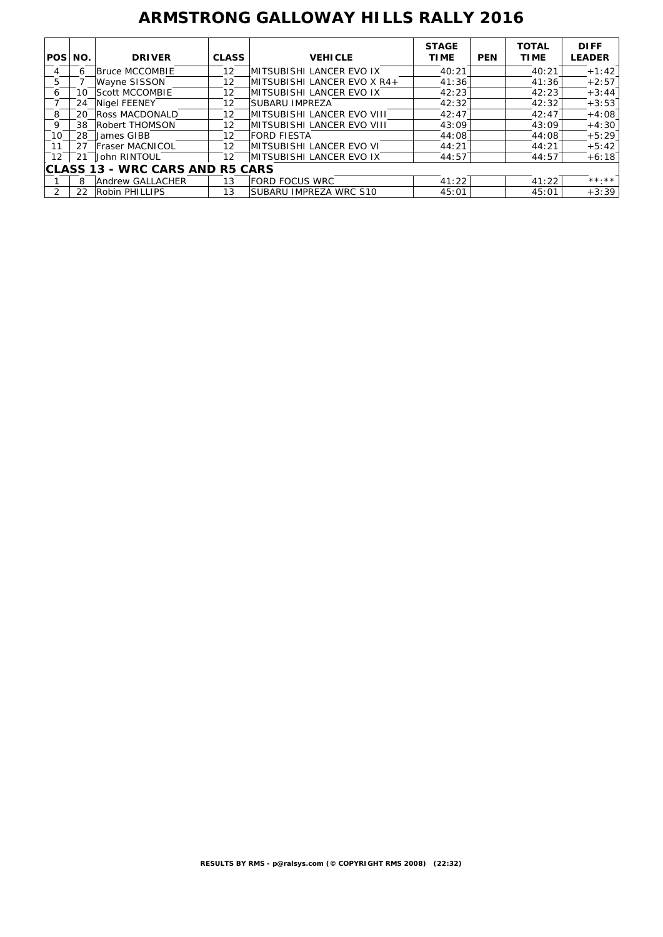# **ARMSTRONG GALLOWAY HILLS RALLY 2016**

| POS NO.                                |     | <b>DRIVER</b>         | <b>CLASS</b>      | <b>VEHICLE</b>                  | <b>STAGE</b><br><b>TIME</b> | <b>PEN</b> | <b>TOTAL</b><br><b>TIME</b> | <b>DIFF</b><br><b>LEADER</b> |  |
|----------------------------------------|-----|-----------------------|-------------------|---------------------------------|-----------------------------|------------|-----------------------------|------------------------------|--|
| 4                                      | 6   | Bruce MCCOMBIE        | 12                | <b>MITSUBISHI LANCER EVO IX</b> | 40:21                       |            | 40:21                       | $+1:42$                      |  |
| 5                                      |     | Wayne SISSON          | 12                | IMITSUBISHI LANCER EVO X R4+    | 41:36                       |            | 41:36                       | $+2:57$                      |  |
| 6                                      | 10  | <b>Scott MCCOMBIE</b> | 12                | IMITSUBISHI LANCER EVO IX       | 42:23                       |            | 42:23                       | $+3:44$                      |  |
|                                        | 24  | Nigel FEENEY          | 12                | SUBARU IMPREZA                  | 42:32                       |            | 42:32                       | $+3:53$                      |  |
| 8                                      | 20  | Ross MACDONALD        | 12                | MITSUBISHI LANCER EVO VIII      | 42:47                       |            | 42:47                       | $+4:08$                      |  |
| 9                                      | 38  | Robert THOMSON        | $12 \overline{ }$ | IMITSUBISHI LANCER EVO VIII     | 43:09                       |            | 43:09                       | $+4:30$                      |  |
| 10                                     | 28  | James GIBB            | 12                | <b>FORD FIESTA</b>              | 44:08                       |            | 44:08                       | $+5:29$                      |  |
| 11                                     |     | Fraser MACNICOL       | 12                | IMITSUBISHI LANCER EVO VI       | 44:21                       |            | 44:21                       | $+5:42$                      |  |
| $12 \overline{ }$                      | -21 | John RINTOUL          | 12                | IMITSUBISHI LANCER EVO IX       | 44:57                       |            | 44:57                       | $+6:18$                      |  |
| <b>CLASS 13 - WRC CARS AND R5 CARS</b> |     |                       |                   |                                 |                             |            |                             |                              |  |
|                                        | 8   | Andrew GALLACHER      | 13                | <b>FORD FOCUS WRC</b>           | 41:22                       |            | 41:22                       | $***$ , * *                  |  |
| 2                                      | 22  | Robin PHILLIPS        | 13                | SUBARU IMPREZA WRC S10          | 45:01                       |            | 45:01                       | $+3:39$                      |  |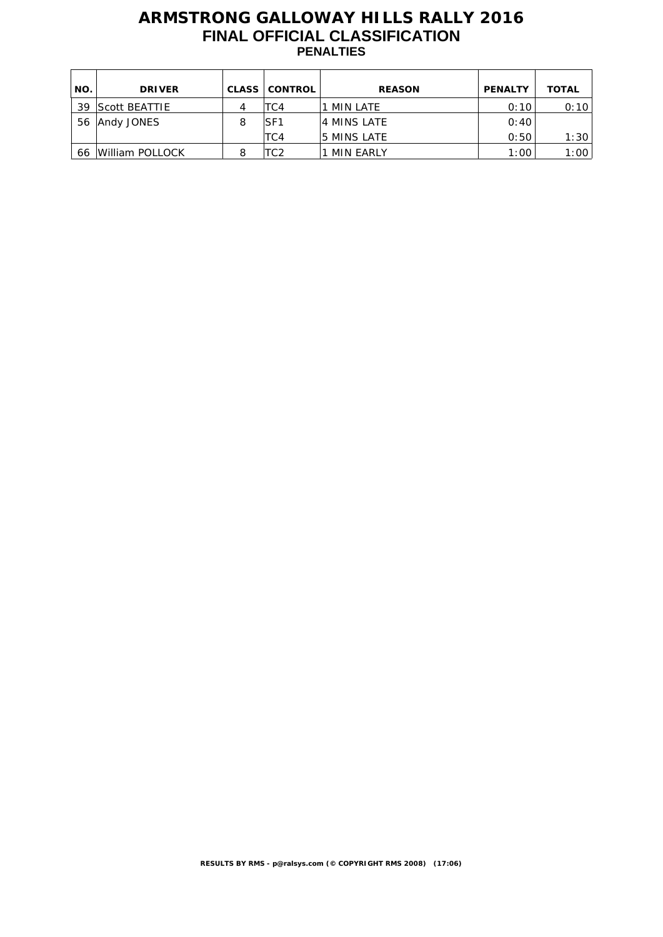# **ARMSTRONG GALLOWAY HILLS RALLY 2016 FINAL OFFICIAL CLASSIFICATION PENALTIES**

| NO. | <b>DRIVER</b>   | <b>CLASS</b> | <b>CONTROL</b>  | <b>REASON</b>    | <b>PENALTY</b> | <b>TOTAL</b> |
|-----|-----------------|--------------|-----------------|------------------|----------------|--------------|
| 39  | Scott BEATTIE   | 4            | TC4             | MIN LATE         | 0:10           | 0:10         |
| 56  | Andy JONES      | 8            | SF <sub>1</sub> | 4 MINS LATE      | 0:40           |              |
|     |                 |              | TC4             | 5 MINS LATE      | 0:50           | 1:30         |
| 66  | William POLLOCK | 8            | TC2             | <b>MIN EARLY</b> | 1:00           | 1:00         |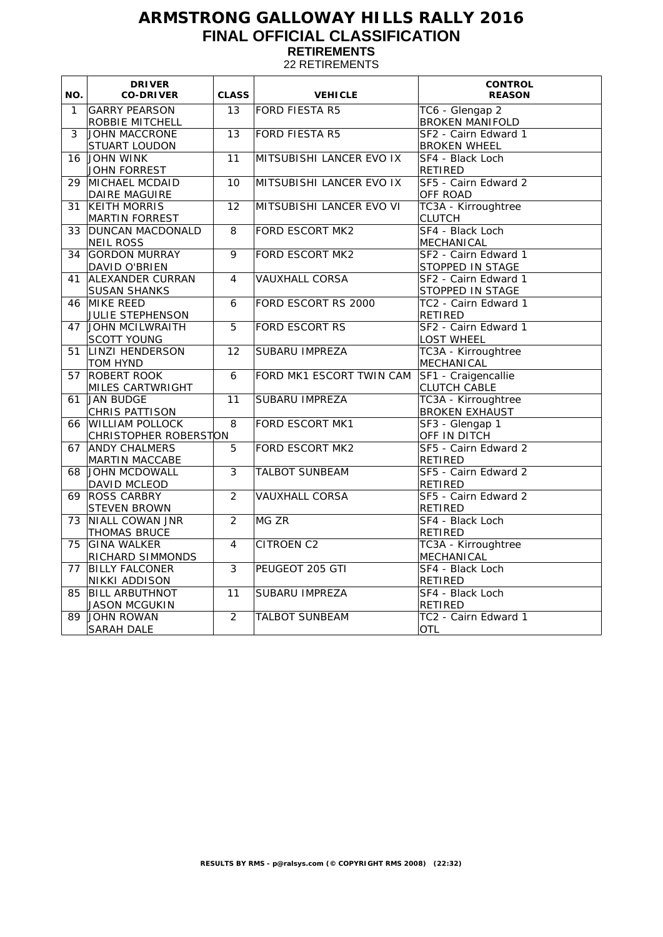# **ARMSTRONG GALLOWAY HILLS RALLY 2016 FINAL OFFICIAL CLASSIFICATION RETIREMENTS**

22 RETIREMENTS

| NO.            | <b>DRIVER</b><br><b>CO-DRIVER</b>               | <b>CLASS</b>    | <b>VEHICLE</b>           | <b>CONTROL</b><br><b>REASON</b>              |
|----------------|-------------------------------------------------|-----------------|--------------------------|----------------------------------------------|
| $\mathbf{1}$   | <b>GARRY PEARSON</b><br>ROBBIE MITCHELL         | 13              | <b>FORD FIESTA R5</b>    | TC6 - Glengap 2<br><b>BROKEN MANIFOLD</b>    |
| $\overline{3}$ | JOHN MACCRONE<br>STUART LOUDON                  | $\overline{13}$ | FORD FIESTA R5           | SF2 - Cairn Edward 1<br><b>BROKEN WHEEL</b>  |
| 16             | JOHN WINK<br><b>JOHN FORREST</b>                | 11              | MITSUBISHI LANCER EVO IX | SF4 - Black Loch<br><b>RETIRED</b>           |
| 29             | MICHAEL MCDAID<br>DAIRE MAGUIRE                 | $\overline{10}$ | MITSUBISHI LANCER EVO IX | SF5 - Cairn Edward 2<br><b>OFF ROAD</b>      |
| 31             | <b>KEITH MORRIS</b><br><b>MARTIN FORREST</b>    | 12              | MITSUBISHI LANCER EVO VI | TC3A - Kirroughtree<br><b>CLUTCH</b>         |
| 33             | <b>DUNCAN MACDONALD</b><br><b>NEIL ROSS</b>     | 8               | <b>FORD ESCORT MK2</b>   | SF4 - Black Loch<br>MECHANICAL               |
| 34             | <b>GORDON MURRAY</b><br>DAVID O'BRIEN           | 9               | <b>FORD ESCORT MK2</b>   | SF2 - Cairn Edward 1<br>STOPPED IN STAGE     |
| 41             | ALEXANDER CURRAN<br><b>SUSAN SHANKS</b>         | 4               | <b>VAUXHALL CORSA</b>    | SF2 - Cairn Edward 1<br>STOPPED IN STAGE     |
| 46             | MIKE REED<br><b>JULIE STEPHENSON</b>            | 6               | FORD ESCORT RS 2000      | TC2 - Cairn Edward 1<br><b>RETIRED</b>       |
| 47             | <b>JOHN MCILWRAITH</b><br><b>SCOTT YOUNG</b>    | 5               | <b>FORD ESCORT RS</b>    | SF2 - Cairn Edward 1<br>LOST WHEEL           |
| 51             | LINZI HENDERSON<br><b>TOM HYND</b>              | $\overline{12}$ | SUBARU IMPREZA           | TC3A - Kirroughtree<br>MECHANICAL            |
| 57             | <b>ROBERT ROOK</b><br>MILES CARTWRIGHT          | 6               | FORD MK1 ESCORT TWIN CAM | SF1 - Craigencallie<br><b>CLUTCH CABLE</b>   |
| 61             | JAN BUDGE<br>CHRIS PATTISON                     | 11              | SUBARU IMPREZA           | TC3A - Kirroughtree<br><b>BROKEN EXHAUST</b> |
| 66             | <b>WILLIAM POLLOCK</b><br>CHRISTOPHER ROBERSTON | 8               | FORD ESCORT MK1          | SF3 - Glengap 1<br>OFF IN DITCH              |
| 67             | <b>ANDY CHALMERS</b><br><b>MARTIN MACCABE</b>   | 5               | FORD ESCORT MK2          | SF5 - Cairn Edward 2<br><b>RETIRED</b>       |
| 68             | JOHN MCDOWALL<br>DAVID MCLEOD                   | 3               | <b>TALBOT SUNBEAM</b>    | SF5 - Cairn Edward 2<br><b>RETIRED</b>       |
| 69             | <b>ROSS CARBRY</b><br><b>STEVEN BROWN</b>       | $\overline{2}$  | <b>VAUXHALL CORSA</b>    | SF5 - Cairn Edward 2<br>RETIRED              |
| 73             | NIALL COWAN JNR<br>THOMAS BRUCE                 | $\overline{2}$  | MG ZR                    | SF4 - Black Loch<br><b>RETIRED</b>           |
| 75             | <b>GINA WALKER</b><br>RICHARD SIMMONDS          | $\overline{4}$  | <b>CITROEN C2</b>        | TC3A - Kirroughtree<br>MECHANICAL            |
| 77             | <b>BILLY FALCONER</b><br>NIKKI ADDISON          | 3               | PEUGEOT 205 GTI          | SF4 - Black Loch<br>RETIRED                  |
| 85             | <b>BILL ARBUTHNOT</b><br><b>JASON MCGUKIN</b>   | 11              | <b>SUBARU IMPREZA</b>    | SF4 - Black Loch<br><b>RETIRED</b>           |
| 89             | <b>JOHN ROWAN</b><br>SARAH DALE                 | $\overline{2}$  | <b>TALBOT SUNBEAM</b>    | TC2 - Cairn Edward 1<br><b>OTL</b>           |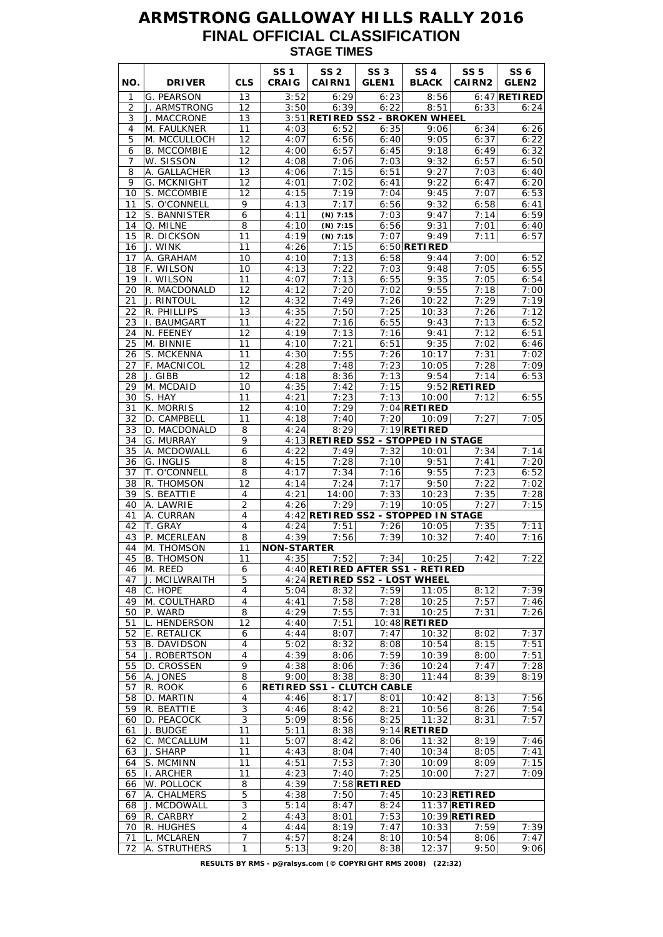# **ARMSTRONG GALLOWAY HILLS RALLY 2016 FINAL OFFICIAL CLASSIFICATION STAGE TIMES**

| G. PEARSON<br>13<br>8:56<br>1<br>3:52<br>6:29<br>6:23<br>J. ARMSTRONG<br>12<br>3:50<br>6:39<br>6:22<br>8:51<br>2<br>6:33<br>3<br>3:51 RETIRED SS2 - BROKEN WHEEL<br>J. MACCRONE<br>13<br>11<br>6:52<br>6:35<br>6:34<br>4<br>M. FAULKNER<br>4:03<br>9:06<br>5<br>6:56<br>M. MCCULLOCH<br>12<br>4:07<br>6:40<br>9:05<br>6:37<br><b>B. MCCOMBIE</b><br>12<br>6:57<br>9:18<br>6:49<br>6<br>4:00<br>6:45<br>W. SISSON<br>12<br>7:03<br>9:32<br>6:57<br>7<br>4:08<br>7:06<br>8<br>13<br>4:06<br>7:15<br>9:27<br>A. GALLACHER<br>6:51<br>7:03<br>9<br><b>G. MCKNIGHT</b><br>12<br>4:01<br>7:02<br>6:41<br>9:22<br>6:47<br>12<br>7:19<br>7:04<br>9:45<br>7:07<br>10<br>S. MCCOMBIE<br>4:15<br>11<br>9<br>7:17<br>9:32<br>S. O'CONNELL<br>4:13<br>6:56<br>6:58<br>6<br>7:03<br>9:47<br>7:14<br>12<br>S. BANNISTER<br>4:11<br>$(N)$ 7:15<br>Q. MILNE<br>8<br>4:10<br>6:56<br>9:31<br>7:01<br>14<br>$(N)$ 7:15<br>15<br>R. DICKSON<br>11<br>4:19<br>$(N)$ 7:15<br>7:07<br>9:49<br>7:11<br>7:15<br>11<br>4:26<br>16<br>J. WINK<br>$6:50$ RETIRED<br>17<br>A. GRAHAM<br>10<br>4:10<br>7:13<br>6:58<br>9:44<br>7:00<br>F. WILSON<br>18<br>10<br>4:13<br>7:22<br>7:03<br>9:48<br>7:05<br>11<br>7:13<br>9:35<br>19<br>II. WILSON<br>4:07<br>6:55<br>7:05<br>12<br>4:12<br>7:20<br>7:02<br>9:55<br>7:18<br>20<br>R. MACDONALD<br>J. RINTOUL<br>12<br>4:32<br>7:49<br>7:26<br>10:22<br>7:29<br>21<br>22<br>R. PHILLIPS<br>13<br>4:35<br>7:50<br>7:25<br>7:26<br>10:33<br>11<br>4:22<br>23<br>I. BAUMGART<br>7:16<br>6:55<br>9:43<br>7:13<br>24<br>N. FEENEY<br>12<br>4:19<br>7:13<br>7:16<br>9:41<br>7:12<br>25<br>7:21<br>6:51<br>9:35<br>M. BINNIE<br>11<br>4:10<br>7:02<br>7:55<br>S. MCKENNA<br>11<br>4:30<br>7:26<br>10:17<br>7:31<br>26<br>12<br>4:28<br>7:48<br>7:23<br>27<br>F. MACNICOL<br>10:05<br>7:28<br>J. GIBB<br>12<br>4:18<br>8:36<br>7:13<br>9:54<br>7:14<br>28<br>10<br>4:35<br>7:42<br>7:15<br>$9:52$ RETIRED<br>29<br>M. MCDAID<br>30<br>S. HAY<br>11<br>4:21<br>7:23<br>7:13<br>10:00<br>7:12<br>K. MORRIS<br>12<br>4:10<br>7:29<br>$7:04$ RETIRED<br>31<br>7:27<br>32<br>11<br>4:18<br>7:20<br>D. CAMPBELL<br>7:40<br>10:09<br>$7:19$ RETIRED<br>4:24<br>8:29<br>33<br>D. MACDONALD<br>8<br>4:13 RETIRED SS2 - STOPPED IN STAGE<br>G. MURRAY<br>9<br>34<br>4:22<br>7:32<br>7:34<br>35<br>A. MCDOWALL<br>6<br>7:49<br>10:01<br>G. INGLIS<br>4:15<br>7:28<br>7:41<br>36<br>8<br>7:10<br>9:51<br>37<br>8<br>7:34<br>7:16<br>9:55<br>7:23<br>T. O'CONNELL<br>4:17<br>4:14<br>7:24<br>7:17<br>9:50<br>7:22<br>38<br>R. THOMSON<br>12<br>S. BEATTIE<br>7:33<br>7:35<br>39<br>4<br>4:21<br>14:00<br>10:23<br>$\overline{2}$<br>A. LAWRIE<br>4:26<br>7:29<br>7:19<br>10:05<br>7:27<br>40 | SS <sub>6</sub><br>GLEN <sub>2</sub> |
|--------------------------------------------------------------------------------------------------------------------------------------------------------------------------------------------------------------------------------------------------------------------------------------------------------------------------------------------------------------------------------------------------------------------------------------------------------------------------------------------------------------------------------------------------------------------------------------------------------------------------------------------------------------------------------------------------------------------------------------------------------------------------------------------------------------------------------------------------------------------------------------------------------------------------------------------------------------------------------------------------------------------------------------------------------------------------------------------------------------------------------------------------------------------------------------------------------------------------------------------------------------------------------------------------------------------------------------------------------------------------------------------------------------------------------------------------------------------------------------------------------------------------------------------------------------------------------------------------------------------------------------------------------------------------------------------------------------------------------------------------------------------------------------------------------------------------------------------------------------------------------------------------------------------------------------------------------------------------------------------------------------------------------------------------------------------------------------------------------------------------------------------------------------------------------------------------------------------------------------------------------------------------------------------------------------------------------------------------------------------------------------------------------------------------------------------------------------------------------------------------------------------------------------------------------------------------------------------------------------------------------------------------------------------------------------|--------------------------------------|
|                                                                                                                                                                                                                                                                                                                                                                                                                                                                                                                                                                                                                                                                                                                                                                                                                                                                                                                                                                                                                                                                                                                                                                                                                                                                                                                                                                                                                                                                                                                                                                                                                                                                                                                                                                                                                                                                                                                                                                                                                                                                                                                                                                                                                                                                                                                                                                                                                                                                                                                                                                                                                                                                                      | $6:47$ RETIRED                       |
|                                                                                                                                                                                                                                                                                                                                                                                                                                                                                                                                                                                                                                                                                                                                                                                                                                                                                                                                                                                                                                                                                                                                                                                                                                                                                                                                                                                                                                                                                                                                                                                                                                                                                                                                                                                                                                                                                                                                                                                                                                                                                                                                                                                                                                                                                                                                                                                                                                                                                                                                                                                                                                                                                      | 6:24                                 |
|                                                                                                                                                                                                                                                                                                                                                                                                                                                                                                                                                                                                                                                                                                                                                                                                                                                                                                                                                                                                                                                                                                                                                                                                                                                                                                                                                                                                                                                                                                                                                                                                                                                                                                                                                                                                                                                                                                                                                                                                                                                                                                                                                                                                                                                                                                                                                                                                                                                                                                                                                                                                                                                                                      |                                      |
|                                                                                                                                                                                                                                                                                                                                                                                                                                                                                                                                                                                                                                                                                                                                                                                                                                                                                                                                                                                                                                                                                                                                                                                                                                                                                                                                                                                                                                                                                                                                                                                                                                                                                                                                                                                                                                                                                                                                                                                                                                                                                                                                                                                                                                                                                                                                                                                                                                                                                                                                                                                                                                                                                      | 6:26                                 |
|                                                                                                                                                                                                                                                                                                                                                                                                                                                                                                                                                                                                                                                                                                                                                                                                                                                                                                                                                                                                                                                                                                                                                                                                                                                                                                                                                                                                                                                                                                                                                                                                                                                                                                                                                                                                                                                                                                                                                                                                                                                                                                                                                                                                                                                                                                                                                                                                                                                                                                                                                                                                                                                                                      | 6:22                                 |
|                                                                                                                                                                                                                                                                                                                                                                                                                                                                                                                                                                                                                                                                                                                                                                                                                                                                                                                                                                                                                                                                                                                                                                                                                                                                                                                                                                                                                                                                                                                                                                                                                                                                                                                                                                                                                                                                                                                                                                                                                                                                                                                                                                                                                                                                                                                                                                                                                                                                                                                                                                                                                                                                                      | 6:32                                 |
|                                                                                                                                                                                                                                                                                                                                                                                                                                                                                                                                                                                                                                                                                                                                                                                                                                                                                                                                                                                                                                                                                                                                                                                                                                                                                                                                                                                                                                                                                                                                                                                                                                                                                                                                                                                                                                                                                                                                                                                                                                                                                                                                                                                                                                                                                                                                                                                                                                                                                                                                                                                                                                                                                      | 6:50                                 |
|                                                                                                                                                                                                                                                                                                                                                                                                                                                                                                                                                                                                                                                                                                                                                                                                                                                                                                                                                                                                                                                                                                                                                                                                                                                                                                                                                                                                                                                                                                                                                                                                                                                                                                                                                                                                                                                                                                                                                                                                                                                                                                                                                                                                                                                                                                                                                                                                                                                                                                                                                                                                                                                                                      | 6:40                                 |
|                                                                                                                                                                                                                                                                                                                                                                                                                                                                                                                                                                                                                                                                                                                                                                                                                                                                                                                                                                                                                                                                                                                                                                                                                                                                                                                                                                                                                                                                                                                                                                                                                                                                                                                                                                                                                                                                                                                                                                                                                                                                                                                                                                                                                                                                                                                                                                                                                                                                                                                                                                                                                                                                                      | 6:20                                 |
|                                                                                                                                                                                                                                                                                                                                                                                                                                                                                                                                                                                                                                                                                                                                                                                                                                                                                                                                                                                                                                                                                                                                                                                                                                                                                                                                                                                                                                                                                                                                                                                                                                                                                                                                                                                                                                                                                                                                                                                                                                                                                                                                                                                                                                                                                                                                                                                                                                                                                                                                                                                                                                                                                      | 6:53<br>6:41                         |
|                                                                                                                                                                                                                                                                                                                                                                                                                                                                                                                                                                                                                                                                                                                                                                                                                                                                                                                                                                                                                                                                                                                                                                                                                                                                                                                                                                                                                                                                                                                                                                                                                                                                                                                                                                                                                                                                                                                                                                                                                                                                                                                                                                                                                                                                                                                                                                                                                                                                                                                                                                                                                                                                                      | 6:59                                 |
|                                                                                                                                                                                                                                                                                                                                                                                                                                                                                                                                                                                                                                                                                                                                                                                                                                                                                                                                                                                                                                                                                                                                                                                                                                                                                                                                                                                                                                                                                                                                                                                                                                                                                                                                                                                                                                                                                                                                                                                                                                                                                                                                                                                                                                                                                                                                                                                                                                                                                                                                                                                                                                                                                      | 6:40                                 |
|                                                                                                                                                                                                                                                                                                                                                                                                                                                                                                                                                                                                                                                                                                                                                                                                                                                                                                                                                                                                                                                                                                                                                                                                                                                                                                                                                                                                                                                                                                                                                                                                                                                                                                                                                                                                                                                                                                                                                                                                                                                                                                                                                                                                                                                                                                                                                                                                                                                                                                                                                                                                                                                                                      | 6:57                                 |
|                                                                                                                                                                                                                                                                                                                                                                                                                                                                                                                                                                                                                                                                                                                                                                                                                                                                                                                                                                                                                                                                                                                                                                                                                                                                                                                                                                                                                                                                                                                                                                                                                                                                                                                                                                                                                                                                                                                                                                                                                                                                                                                                                                                                                                                                                                                                                                                                                                                                                                                                                                                                                                                                                      |                                      |
|                                                                                                                                                                                                                                                                                                                                                                                                                                                                                                                                                                                                                                                                                                                                                                                                                                                                                                                                                                                                                                                                                                                                                                                                                                                                                                                                                                                                                                                                                                                                                                                                                                                                                                                                                                                                                                                                                                                                                                                                                                                                                                                                                                                                                                                                                                                                                                                                                                                                                                                                                                                                                                                                                      | 6:52                                 |
|                                                                                                                                                                                                                                                                                                                                                                                                                                                                                                                                                                                                                                                                                                                                                                                                                                                                                                                                                                                                                                                                                                                                                                                                                                                                                                                                                                                                                                                                                                                                                                                                                                                                                                                                                                                                                                                                                                                                                                                                                                                                                                                                                                                                                                                                                                                                                                                                                                                                                                                                                                                                                                                                                      | 6:55                                 |
|                                                                                                                                                                                                                                                                                                                                                                                                                                                                                                                                                                                                                                                                                                                                                                                                                                                                                                                                                                                                                                                                                                                                                                                                                                                                                                                                                                                                                                                                                                                                                                                                                                                                                                                                                                                                                                                                                                                                                                                                                                                                                                                                                                                                                                                                                                                                                                                                                                                                                                                                                                                                                                                                                      | 6:54                                 |
|                                                                                                                                                                                                                                                                                                                                                                                                                                                                                                                                                                                                                                                                                                                                                                                                                                                                                                                                                                                                                                                                                                                                                                                                                                                                                                                                                                                                                                                                                                                                                                                                                                                                                                                                                                                                                                                                                                                                                                                                                                                                                                                                                                                                                                                                                                                                                                                                                                                                                                                                                                                                                                                                                      | 7:00                                 |
|                                                                                                                                                                                                                                                                                                                                                                                                                                                                                                                                                                                                                                                                                                                                                                                                                                                                                                                                                                                                                                                                                                                                                                                                                                                                                                                                                                                                                                                                                                                                                                                                                                                                                                                                                                                                                                                                                                                                                                                                                                                                                                                                                                                                                                                                                                                                                                                                                                                                                                                                                                                                                                                                                      | 7:19                                 |
|                                                                                                                                                                                                                                                                                                                                                                                                                                                                                                                                                                                                                                                                                                                                                                                                                                                                                                                                                                                                                                                                                                                                                                                                                                                                                                                                                                                                                                                                                                                                                                                                                                                                                                                                                                                                                                                                                                                                                                                                                                                                                                                                                                                                                                                                                                                                                                                                                                                                                                                                                                                                                                                                                      | 7:12                                 |
|                                                                                                                                                                                                                                                                                                                                                                                                                                                                                                                                                                                                                                                                                                                                                                                                                                                                                                                                                                                                                                                                                                                                                                                                                                                                                                                                                                                                                                                                                                                                                                                                                                                                                                                                                                                                                                                                                                                                                                                                                                                                                                                                                                                                                                                                                                                                                                                                                                                                                                                                                                                                                                                                                      | 6:52                                 |
|                                                                                                                                                                                                                                                                                                                                                                                                                                                                                                                                                                                                                                                                                                                                                                                                                                                                                                                                                                                                                                                                                                                                                                                                                                                                                                                                                                                                                                                                                                                                                                                                                                                                                                                                                                                                                                                                                                                                                                                                                                                                                                                                                                                                                                                                                                                                                                                                                                                                                                                                                                                                                                                                                      | 6:51                                 |
|                                                                                                                                                                                                                                                                                                                                                                                                                                                                                                                                                                                                                                                                                                                                                                                                                                                                                                                                                                                                                                                                                                                                                                                                                                                                                                                                                                                                                                                                                                                                                                                                                                                                                                                                                                                                                                                                                                                                                                                                                                                                                                                                                                                                                                                                                                                                                                                                                                                                                                                                                                                                                                                                                      | 6:46                                 |
|                                                                                                                                                                                                                                                                                                                                                                                                                                                                                                                                                                                                                                                                                                                                                                                                                                                                                                                                                                                                                                                                                                                                                                                                                                                                                                                                                                                                                                                                                                                                                                                                                                                                                                                                                                                                                                                                                                                                                                                                                                                                                                                                                                                                                                                                                                                                                                                                                                                                                                                                                                                                                                                                                      | 7:02                                 |
|                                                                                                                                                                                                                                                                                                                                                                                                                                                                                                                                                                                                                                                                                                                                                                                                                                                                                                                                                                                                                                                                                                                                                                                                                                                                                                                                                                                                                                                                                                                                                                                                                                                                                                                                                                                                                                                                                                                                                                                                                                                                                                                                                                                                                                                                                                                                                                                                                                                                                                                                                                                                                                                                                      | 7:09                                 |
|                                                                                                                                                                                                                                                                                                                                                                                                                                                                                                                                                                                                                                                                                                                                                                                                                                                                                                                                                                                                                                                                                                                                                                                                                                                                                                                                                                                                                                                                                                                                                                                                                                                                                                                                                                                                                                                                                                                                                                                                                                                                                                                                                                                                                                                                                                                                                                                                                                                                                                                                                                                                                                                                                      | 6:53                                 |
|                                                                                                                                                                                                                                                                                                                                                                                                                                                                                                                                                                                                                                                                                                                                                                                                                                                                                                                                                                                                                                                                                                                                                                                                                                                                                                                                                                                                                                                                                                                                                                                                                                                                                                                                                                                                                                                                                                                                                                                                                                                                                                                                                                                                                                                                                                                                                                                                                                                                                                                                                                                                                                                                                      |                                      |
|                                                                                                                                                                                                                                                                                                                                                                                                                                                                                                                                                                                                                                                                                                                                                                                                                                                                                                                                                                                                                                                                                                                                                                                                                                                                                                                                                                                                                                                                                                                                                                                                                                                                                                                                                                                                                                                                                                                                                                                                                                                                                                                                                                                                                                                                                                                                                                                                                                                                                                                                                                                                                                                                                      | 6:55                                 |
|                                                                                                                                                                                                                                                                                                                                                                                                                                                                                                                                                                                                                                                                                                                                                                                                                                                                                                                                                                                                                                                                                                                                                                                                                                                                                                                                                                                                                                                                                                                                                                                                                                                                                                                                                                                                                                                                                                                                                                                                                                                                                                                                                                                                                                                                                                                                                                                                                                                                                                                                                                                                                                                                                      | 7:05                                 |
|                                                                                                                                                                                                                                                                                                                                                                                                                                                                                                                                                                                                                                                                                                                                                                                                                                                                                                                                                                                                                                                                                                                                                                                                                                                                                                                                                                                                                                                                                                                                                                                                                                                                                                                                                                                                                                                                                                                                                                                                                                                                                                                                                                                                                                                                                                                                                                                                                                                                                                                                                                                                                                                                                      |                                      |
|                                                                                                                                                                                                                                                                                                                                                                                                                                                                                                                                                                                                                                                                                                                                                                                                                                                                                                                                                                                                                                                                                                                                                                                                                                                                                                                                                                                                                                                                                                                                                                                                                                                                                                                                                                                                                                                                                                                                                                                                                                                                                                                                                                                                                                                                                                                                                                                                                                                                                                                                                                                                                                                                                      |                                      |
|                                                                                                                                                                                                                                                                                                                                                                                                                                                                                                                                                                                                                                                                                                                                                                                                                                                                                                                                                                                                                                                                                                                                                                                                                                                                                                                                                                                                                                                                                                                                                                                                                                                                                                                                                                                                                                                                                                                                                                                                                                                                                                                                                                                                                                                                                                                                                                                                                                                                                                                                                                                                                                                                                      | 7:14                                 |
|                                                                                                                                                                                                                                                                                                                                                                                                                                                                                                                                                                                                                                                                                                                                                                                                                                                                                                                                                                                                                                                                                                                                                                                                                                                                                                                                                                                                                                                                                                                                                                                                                                                                                                                                                                                                                                                                                                                                                                                                                                                                                                                                                                                                                                                                                                                                                                                                                                                                                                                                                                                                                                                                                      | 7:20                                 |
|                                                                                                                                                                                                                                                                                                                                                                                                                                                                                                                                                                                                                                                                                                                                                                                                                                                                                                                                                                                                                                                                                                                                                                                                                                                                                                                                                                                                                                                                                                                                                                                                                                                                                                                                                                                                                                                                                                                                                                                                                                                                                                                                                                                                                                                                                                                                                                                                                                                                                                                                                                                                                                                                                      | 6:52                                 |
|                                                                                                                                                                                                                                                                                                                                                                                                                                                                                                                                                                                                                                                                                                                                                                                                                                                                                                                                                                                                                                                                                                                                                                                                                                                                                                                                                                                                                                                                                                                                                                                                                                                                                                                                                                                                                                                                                                                                                                                                                                                                                                                                                                                                                                                                                                                                                                                                                                                                                                                                                                                                                                                                                      | 7:02                                 |
|                                                                                                                                                                                                                                                                                                                                                                                                                                                                                                                                                                                                                                                                                                                                                                                                                                                                                                                                                                                                                                                                                                                                                                                                                                                                                                                                                                                                                                                                                                                                                                                                                                                                                                                                                                                                                                                                                                                                                                                                                                                                                                                                                                                                                                                                                                                                                                                                                                                                                                                                                                                                                                                                                      | 7:28                                 |
|                                                                                                                                                                                                                                                                                                                                                                                                                                                                                                                                                                                                                                                                                                                                                                                                                                                                                                                                                                                                                                                                                                                                                                                                                                                                                                                                                                                                                                                                                                                                                                                                                                                                                                                                                                                                                                                                                                                                                                                                                                                                                                                                                                                                                                                                                                                                                                                                                                                                                                                                                                                                                                                                                      | 7:15                                 |
| 4:42 RETIRED SS2 - STOPPED IN STAGE<br>A. CURRAN<br>41<br>4                                                                                                                                                                                                                                                                                                                                                                                                                                                                                                                                                                                                                                                                                                                                                                                                                                                                                                                                                                                                                                                                                                                                                                                                                                                                                                                                                                                                                                                                                                                                                                                                                                                                                                                                                                                                                                                                                                                                                                                                                                                                                                                                                                                                                                                                                                                                                                                                                                                                                                                                                                                                                          |                                      |
| $\overline{\mathcal{A}}$<br>7:35<br>42<br>T. GRAY<br>4:24<br>7:51<br>7:26<br>10:05                                                                                                                                                                                                                                                                                                                                                                                                                                                                                                                                                                                                                                                                                                                                                                                                                                                                                                                                                                                                                                                                                                                                                                                                                                                                                                                                                                                                                                                                                                                                                                                                                                                                                                                                                                                                                                                                                                                                                                                                                                                                                                                                                                                                                                                                                                                                                                                                                                                                                                                                                                                                   | 7:11                                 |
| P. MCERLEAN<br>4:39<br>7:56<br>7:39<br>10:32<br>7:40<br>43<br>8                                                                                                                                                                                                                                                                                                                                                                                                                                                                                                                                                                                                                                                                                                                                                                                                                                                                                                                                                                                                                                                                                                                                                                                                                                                                                                                                                                                                                                                                                                                                                                                                                                                                                                                                                                                                                                                                                                                                                                                                                                                                                                                                                                                                                                                                                                                                                                                                                                                                                                                                                                                                                      | 7:16                                 |
| 44<br>M. THOMSON<br>11<br><b>NON-STARTER</b>                                                                                                                                                                                                                                                                                                                                                                                                                                                                                                                                                                                                                                                                                                                                                                                                                                                                                                                                                                                                                                                                                                                                                                                                                                                                                                                                                                                                                                                                                                                                                                                                                                                                                                                                                                                                                                                                                                                                                                                                                                                                                                                                                                                                                                                                                                                                                                                                                                                                                                                                                                                                                                         |                                      |
| 45<br>7:52<br><b>B. THOMSON</b><br>11<br>4:35<br>7:34<br>10:25<br>7:42                                                                                                                                                                                                                                                                                                                                                                                                                                                                                                                                                                                                                                                                                                                                                                                                                                                                                                                                                                                                                                                                                                                                                                                                                                                                                                                                                                                                                                                                                                                                                                                                                                                                                                                                                                                                                                                                                                                                                                                                                                                                                                                                                                                                                                                                                                                                                                                                                                                                                                                                                                                                               | 7:22                                 |
| M. REED<br>4:40 RETIRED AFTER SS1 - RETIRED<br>46<br>6                                                                                                                                                                                                                                                                                                                                                                                                                                                                                                                                                                                                                                                                                                                                                                                                                                                                                                                                                                                                                                                                                                                                                                                                                                                                                                                                                                                                                                                                                                                                                                                                                                                                                                                                                                                                                                                                                                                                                                                                                                                                                                                                                                                                                                                                                                                                                                                                                                                                                                                                                                                                                               |                                      |
| 5<br>47<br>J. MCILWRAITH<br>4:24 RETIRED SS2 - LOST WHEEL                                                                                                                                                                                                                                                                                                                                                                                                                                                                                                                                                                                                                                                                                                                                                                                                                                                                                                                                                                                                                                                                                                                                                                                                                                                                                                                                                                                                                                                                                                                                                                                                                                                                                                                                                                                                                                                                                                                                                                                                                                                                                                                                                                                                                                                                                                                                                                                                                                                                                                                                                                                                                            |                                      |
| C. HOPE<br>48<br>4<br>5:04<br>8:32<br>7:59<br>11:05<br>8:12<br>M. COULTHARD<br>$\overline{4}$<br>4:41                                                                                                                                                                                                                                                                                                                                                                                                                                                                                                                                                                                                                                                                                                                                                                                                                                                                                                                                                                                                                                                                                                                                                                                                                                                                                                                                                                                                                                                                                                                                                                                                                                                                                                                                                                                                                                                                                                                                                                                                                                                                                                                                                                                                                                                                                                                                                                                                                                                                                                                                                                                | 7:39<br>7:46                         |
| 7:58<br>7:28<br>7:57<br>49<br>10:25<br>8<br>7:55<br>7:31<br>50<br>P. WARD<br>4:29<br>7:31<br>10:25                                                                                                                                                                                                                                                                                                                                                                                                                                                                                                                                                                                                                                                                                                                                                                                                                                                                                                                                                                                                                                                                                                                                                                                                                                                                                                                                                                                                                                                                                                                                                                                                                                                                                                                                                                                                                                                                                                                                                                                                                                                                                                                                                                                                                                                                                                                                                                                                                                                                                                                                                                                   | 7:26                                 |
| L. HENDERSON<br>51<br>12<br>4:40<br>7:51<br>$10:48$ RETIRED                                                                                                                                                                                                                                                                                                                                                                                                                                                                                                                                                                                                                                                                                                                                                                                                                                                                                                                                                                                                                                                                                                                                                                                                                                                                                                                                                                                                                                                                                                                                                                                                                                                                                                                                                                                                                                                                                                                                                                                                                                                                                                                                                                                                                                                                                                                                                                                                                                                                                                                                                                                                                          |                                      |
| E. RETALICK<br>4:44<br>8:07<br>7:47<br>10:32<br>8:02<br>52<br>6                                                                                                                                                                                                                                                                                                                                                                                                                                                                                                                                                                                                                                                                                                                                                                                                                                                                                                                                                                                                                                                                                                                                                                                                                                                                                                                                                                                                                                                                                                                                                                                                                                                                                                                                                                                                                                                                                                                                                                                                                                                                                                                                                                                                                                                                                                                                                                                                                                                                                                                                                                                                                      | 7:37                                 |
| <b>B. DAVIDSON</b><br>8:32<br>10:54<br>53<br>4<br>5:02<br>8:08<br>8:15                                                                                                                                                                                                                                                                                                                                                                                                                                                                                                                                                                                                                                                                                                                                                                                                                                                                                                                                                                                                                                                                                                                                                                                                                                                                                                                                                                                                                                                                                                                                                                                                                                                                                                                                                                                                                                                                                                                                                                                                                                                                                                                                                                                                                                                                                                                                                                                                                                                                                                                                                                                                               | 7:51                                 |
| $\overline{4}$<br>4:39<br>7:59<br>54<br>J. ROBERTSON<br>8:06<br>10:39<br>8:00                                                                                                                                                                                                                                                                                                                                                                                                                                                                                                                                                                                                                                                                                                                                                                                                                                                                                                                                                                                                                                                                                                                                                                                                                                                                                                                                                                                                                                                                                                                                                                                                                                                                                                                                                                                                                                                                                                                                                                                                                                                                                                                                                                                                                                                                                                                                                                                                                                                                                                                                                                                                        | 7:51                                 |
| 9<br>55<br>D. CROSSEN<br>4:38<br>8:06<br>7:36<br>10:24<br>7:47                                                                                                                                                                                                                                                                                                                                                                                                                                                                                                                                                                                                                                                                                                                                                                                                                                                                                                                                                                                                                                                                                                                                                                                                                                                                                                                                                                                                                                                                                                                                                                                                                                                                                                                                                                                                                                                                                                                                                                                                                                                                                                                                                                                                                                                                                                                                                                                                                                                                                                                                                                                                                       | 7:28                                 |
| 11:44<br>A. JONES<br>8<br>9:00<br>8:38<br>8:30<br>8:39<br>56                                                                                                                                                                                                                                                                                                                                                                                                                                                                                                                                                                                                                                                                                                                                                                                                                                                                                                                                                                                                                                                                                                                                                                                                                                                                                                                                                                                                                                                                                                                                                                                                                                                                                                                                                                                                                                                                                                                                                                                                                                                                                                                                                                                                                                                                                                                                                                                                                                                                                                                                                                                                                         | 8:19                                 |
| R. ROOK<br>57<br>6<br>RETIRED SS1 - CLUTCH CABLE                                                                                                                                                                                                                                                                                                                                                                                                                                                                                                                                                                                                                                                                                                                                                                                                                                                                                                                                                                                                                                                                                                                                                                                                                                                                                                                                                                                                                                                                                                                                                                                                                                                                                                                                                                                                                                                                                                                                                                                                                                                                                                                                                                                                                                                                                                                                                                                                                                                                                                                                                                                                                                     |                                      |
| 58<br>D. MARTIN<br>4<br>4:46<br>8:17<br>10:42<br>8:13<br>8:01                                                                                                                                                                                                                                                                                                                                                                                                                                                                                                                                                                                                                                                                                                                                                                                                                                                                                                                                                                                                                                                                                                                                                                                                                                                                                                                                                                                                                                                                                                                                                                                                                                                                                                                                                                                                                                                                                                                                                                                                                                                                                                                                                                                                                                                                                                                                                                                                                                                                                                                                                                                                                        | 7:56                                 |
| 3<br>4:46<br>8:26<br>59<br>R. BEATTIE<br>8:42<br>8:21<br>10:56                                                                                                                                                                                                                                                                                                                                                                                                                                                                                                                                                                                                                                                                                                                                                                                                                                                                                                                                                                                                                                                                                                                                                                                                                                                                                                                                                                                                                                                                                                                                                                                                                                                                                                                                                                                                                                                                                                                                                                                                                                                                                                                                                                                                                                                                                                                                                                                                                                                                                                                                                                                                                       | 7:54                                 |
| 3<br>5:09<br>8:25<br>11:32<br>8:31<br>60<br>D. PEACOCK<br>8:56                                                                                                                                                                                                                                                                                                                                                                                                                                                                                                                                                                                                                                                                                                                                                                                                                                                                                                                                                                                                                                                                                                                                                                                                                                                                                                                                                                                                                                                                                                                                                                                                                                                                                                                                                                                                                                                                                                                                                                                                                                                                                                                                                                                                                                                                                                                                                                                                                                                                                                                                                                                                                       | 7:57                                 |
| $9:14$ RETIRED<br>J. BUDGE<br>11<br>5:11<br>8:38<br>61                                                                                                                                                                                                                                                                                                                                                                                                                                                                                                                                                                                                                                                                                                                                                                                                                                                                                                                                                                                                                                                                                                                                                                                                                                                                                                                                                                                                                                                                                                                                                                                                                                                                                                                                                                                                                                                                                                                                                                                                                                                                                                                                                                                                                                                                                                                                                                                                                                                                                                                                                                                                                               |                                      |
| C. MCCALLUM<br>11<br>11:32<br>8:19<br>62<br>5:07<br>8:42<br>8:06                                                                                                                                                                                                                                                                                                                                                                                                                                                                                                                                                                                                                                                                                                                                                                                                                                                                                                                                                                                                                                                                                                                                                                                                                                                                                                                                                                                                                                                                                                                                                                                                                                                                                                                                                                                                                                                                                                                                                                                                                                                                                                                                                                                                                                                                                                                                                                                                                                                                                                                                                                                                                     | 7:46                                 |
| J. SHARP<br>11<br>63<br>4:43<br>8:04<br>7:40<br>10:34<br>8:05                                                                                                                                                                                                                                                                                                                                                                                                                                                                                                                                                                                                                                                                                                                                                                                                                                                                                                                                                                                                                                                                                                                                                                                                                                                                                                                                                                                                                                                                                                                                                                                                                                                                                                                                                                                                                                                                                                                                                                                                                                                                                                                                                                                                                                                                                                                                                                                                                                                                                                                                                                                                                        | 7:41                                 |
| S. MCMINN<br>7:53<br>7:30<br>11<br>4:51<br>10:09<br>8:09<br>64                                                                                                                                                                                                                                                                                                                                                                                                                                                                                                                                                                                                                                                                                                                                                                                                                                                                                                                                                                                                                                                                                                                                                                                                                                                                                                                                                                                                                                                                                                                                                                                                                                                                                                                                                                                                                                                                                                                                                                                                                                                                                                                                                                                                                                                                                                                                                                                                                                                                                                                                                                                                                       | 7:15                                 |
| 7:40<br>10:00<br>7:27<br>I. ARCHER<br>11<br>4:23<br>7:25<br>65                                                                                                                                                                                                                                                                                                                                                                                                                                                                                                                                                                                                                                                                                                                                                                                                                                                                                                                                                                                                                                                                                                                                                                                                                                                                                                                                                                                                                                                                                                                                                                                                                                                                                                                                                                                                                                                                                                                                                                                                                                                                                                                                                                                                                                                                                                                                                                                                                                                                                                                                                                                                                       | 7:09                                 |
| 4:39<br>W. POLLOCK<br>$7:58$ RETIRED<br>66<br>8                                                                                                                                                                                                                                                                                                                                                                                                                                                                                                                                                                                                                                                                                                                                                                                                                                                                                                                                                                                                                                                                                                                                                                                                                                                                                                                                                                                                                                                                                                                                                                                                                                                                                                                                                                                                                                                                                                                                                                                                                                                                                                                                                                                                                                                                                                                                                                                                                                                                                                                                                                                                                                      |                                      |
| 5<br>7:50<br>$10:23$ RETIRED<br>A. CHALMERS<br>4:38<br>7:45<br>67<br>3<br>68<br>J. MCDOWALL<br>5:14<br>8:47<br>8:24<br>$11:37$ RETIRED                                                                                                                                                                                                                                                                                                                                                                                                                                                                                                                                                                                                                                                                                                                                                                                                                                                                                                                                                                                                                                                                                                                                                                                                                                                                                                                                                                                                                                                                                                                                                                                                                                                                                                                                                                                                                                                                                                                                                                                                                                                                                                                                                                                                                                                                                                                                                                                                                                                                                                                                               |                                      |
| R. CARBRY<br>$\overline{2}$<br>7:53<br>10:39 RETIRED<br>69<br>4:43<br>8:01                                                                                                                                                                                                                                                                                                                                                                                                                                                                                                                                                                                                                                                                                                                                                                                                                                                                                                                                                                                                                                                                                                                                                                                                                                                                                                                                                                                                                                                                                                                                                                                                                                                                                                                                                                                                                                                                                                                                                                                                                                                                                                                                                                                                                                                                                                                                                                                                                                                                                                                                                                                                           |                                      |
| $\overline{4}$<br>70<br>R. HUGHES<br>4:44<br>8:19<br>7:47<br>10:33<br>7:59                                                                                                                                                                                                                                                                                                                                                                                                                                                                                                                                                                                                                                                                                                                                                                                                                                                                                                                                                                                                                                                                                                                                                                                                                                                                                                                                                                                                                                                                                                                                                                                                                                                                                                                                                                                                                                                                                                                                                                                                                                                                                                                                                                                                                                                                                                                                                                                                                                                                                                                                                                                                           | 7:39                                 |
| 71<br>L. MCLAREN<br>7<br>4:57<br>8:24<br>8:10<br>10:54<br>8:06                                                                                                                                                                                                                                                                                                                                                                                                                                                                                                                                                                                                                                                                                                                                                                                                                                                                                                                                                                                                                                                                                                                                                                                                                                                                                                                                                                                                                                                                                                                                                                                                                                                                                                                                                                                                                                                                                                                                                                                                                                                                                                                                                                                                                                                                                                                                                                                                                                                                                                                                                                                                                       | 7:47                                 |
| A. STRUTHERS<br>1<br>9:50<br>72<br>5:13<br>9:20<br>8:38<br>12:37                                                                                                                                                                                                                                                                                                                                                                                                                                                                                                                                                                                                                                                                                                                                                                                                                                                                                                                                                                                                                                                                                                                                                                                                                                                                                                                                                                                                                                                                                                                                                                                                                                                                                                                                                                                                                                                                                                                                                                                                                                                                                                                                                                                                                                                                                                                                                                                                                                                                                                                                                                                                                     | 9:06                                 |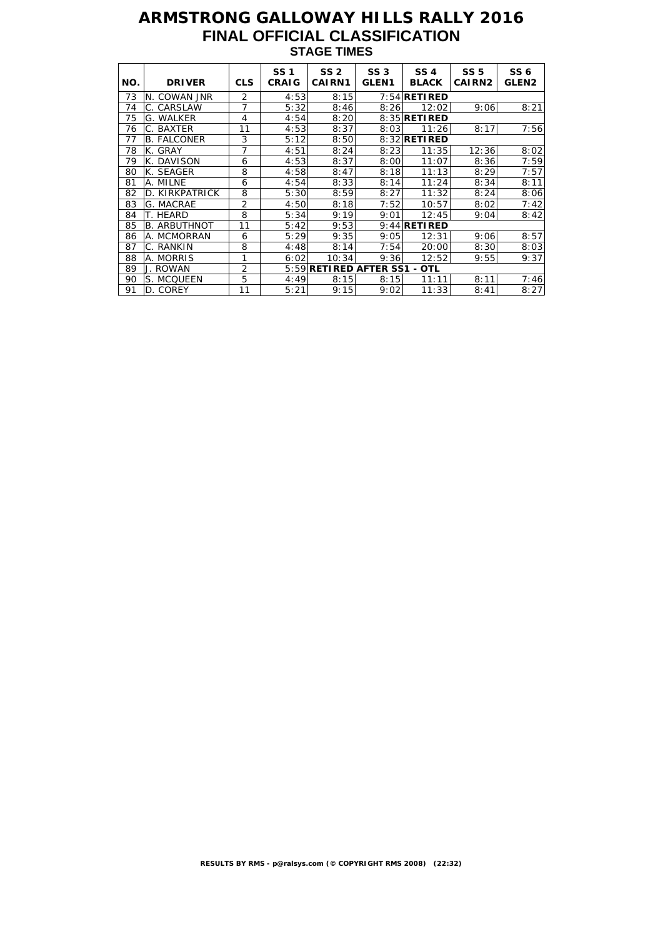# **ARMSTRONG GALLOWAY HILLS RALLY 2016 FINAL OFFICIAL CLASSIFICATION STAGE TIMES**

| NO. | <b>DRIVER</b>       | <b>CLS</b>     | <b>SS1</b><br><b>CRAIG</b> | SS <sub>2</sub><br><b>CAIRN1</b> | SS <sub>3</sub><br>GLEN <sub>1</sub> | <b>SS4</b><br><b>BLACK</b> | <b>SS 5</b><br>CAIRN <sub>2</sub> | SS <sub>6</sub><br><b>GLEN2</b> |
|-----|---------------------|----------------|----------------------------|----------------------------------|--------------------------------------|----------------------------|-----------------------------------|---------------------------------|
| 73  | N. COWAN JNR        | $\overline{2}$ | 4:53                       | 8:15                             |                                      | $7:54$ RETIRED             |                                   |                                 |
| 74  | C. CARSLAW          | 7              | 5:32                       | 8:46                             | 8:26                                 | 12:02                      | 9:06                              | 8:21                            |
| 75  | G. WALKER           | 4              | 4:54                       | 8:20                             |                                      | 8:35 RETIRED               |                                   |                                 |
| 76  | C. BAXTER           | 11             | 4:53                       | 8:37                             | 8:03                                 | 11:26                      | 8:17                              | 7:56                            |
| 77  | <b>B. FALCONER</b>  | 3              | 5:12                       | 8:50                             |                                      | 8:32 <b>RETIRED</b>        |                                   |                                 |
| 78  | K. GRAY             | 7              | 4:51                       | 8:24                             | 8:23                                 | 11:35                      | 12:36                             | 8:02                            |
| 79  | K. DAVISON          | 6              | 4:53                       | 8:37                             | 8:00                                 | 11:07                      | 8:36                              | 7:59                            |
| 80  | K. SEAGER           | 8              | 4:58                       | 8:47                             | 8:18                                 | 11:13                      | 8:29                              | 7:57                            |
| 81  | A. MILNE            | 6              | 4:54                       | 8:33                             | 8:14                                 | 11:24                      | 8:34                              | 8:11                            |
| 82  | D. KIRKPATRICK      | 8              | 5:30                       | 8:59                             | 8:27                                 | 11:32                      | 8:24                              | 8:06                            |
| 83  | G. MACRAE           | $\overline{2}$ | 4:50                       | 8:18                             | 7:52                                 | 10:57                      | 8:02                              | 7:42                            |
| 84  | T. HEARD            | 8              | 5:34                       | 9:19                             | 9:01                                 | 12:45                      | 9:04                              | 8:42                            |
| 85  | <b>B. ARBUTHNOT</b> | 11             | 5:42                       | 9:53                             |                                      | $9:44$ RETIRED             |                                   |                                 |
| 86  | A. MCMORRAN         | 6              | 5:29                       | 9:35                             | 9:05                                 | 12:31                      | 9:06                              | 8:57                            |
| 87  | C. RANKIN           | 8              | 4:48                       | 8:14                             | 7:54                                 | 20:00                      | 8:30                              | 8:03                            |
| 88  | A. MORRIS           | 1              | 6:02                       | 10:34                            | 9:36                                 | 12:52                      | 9:55                              | 9:37                            |
| 89  | J. ROWAN            | $\overline{2}$ |                            | 5:59 RETIRED AFTER SS1           |                                      | - OTL                      |                                   |                                 |
| 90  | S. MCQUEEN          | 5              | 4:49                       | 8:15                             | 8:15                                 | 11:11                      | 8:11                              | 7:46                            |
| 91  | D. COREY            | 11             | 5:21                       | 9:15                             | 9:02                                 | 11:33                      | 8:41                              | 8:27                            |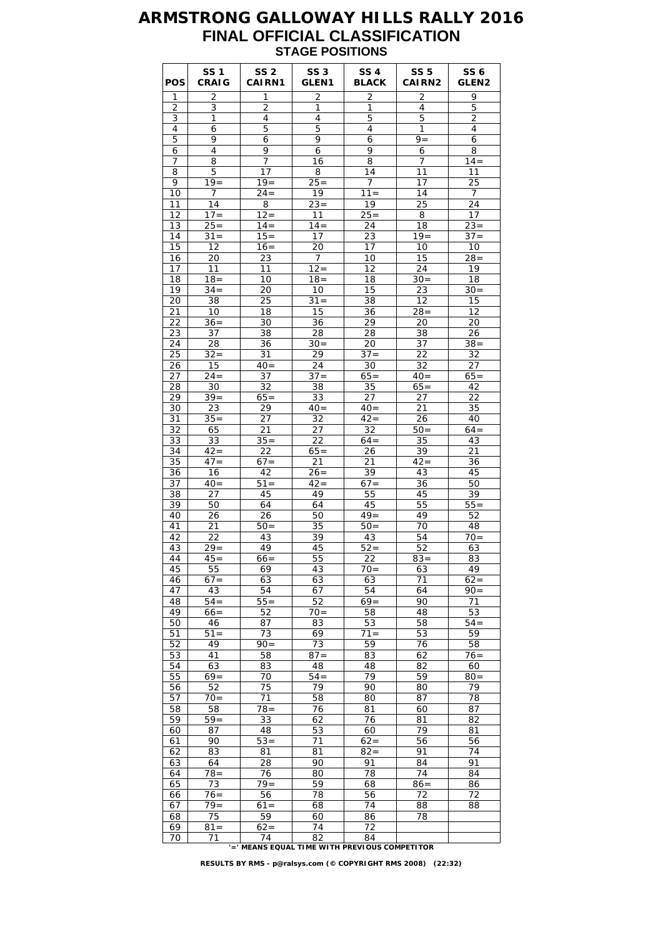#### **ARMSTRONG GALLOWAY HILLS RALLY 2016 FINAL OFFICIAL CLASSIFICATION STAGE POSITIONS**

| <b>POS</b> | <b>SS 1</b><br><b>CRAIG</b> | <b>SS 2</b><br>CAIRN1                         | <b>SS 3</b><br><b>GLEN1</b> | <b>SS 4</b><br><b>BLACK</b> | <b>SS 5</b><br><b>CAIRN2</b> | SS 6<br>GLEN <sub>2</sub> |
|------------|-----------------------------|-----------------------------------------------|-----------------------------|-----------------------------|------------------------------|---------------------------|
| 1          | 2                           | 1                                             | $\overline{c}$              | 2                           | 2                            | 9                         |
| 2          | 3                           | $\overline{2}$                                | 1                           | 1                           | 4                            | 5                         |
| 3          | 1                           | $\overline{4}$                                | 4                           | 5                           | 5                            | 2                         |
| 4<br>5     | 6<br>9                      | 5<br>6                                        | 5<br>9                      | 4<br>6                      | 1<br>$9 =$                   | 4<br>6                    |
| 6          | 4                           | 9                                             | 6                           | 9                           | 6                            | 8                         |
| 7          | 8                           | $\overline{7}$                                | 16                          | 8                           | 7                            | $14 =$                    |
| 8          | 5                           | 17                                            | 8                           | 14                          | 11                           | 11                        |
| 9          | $19=$                       | $19 =$                                        | $25 =$                      | 7                           | 17                           | 25                        |
| 10         | 7                           | $24 =$                                        | 19                          | $11 =$                      | 14                           | 7                         |
| 11         | 14                          | 8                                             | $23 =$                      | 19                          | 25                           | 24                        |
| 12         | $17 =$                      | $12 =$                                        | 11                          | $25 =$                      | $\overline{8}$               | 17                        |
| 13         | $25 =$                      | $14 =$                                        | $14 =$                      | 24                          | 18                           | $23 =$                    |
| 14         | $31 =$                      | $15 =$                                        | 17                          | 23                          | $19 =$                       | $37 =$                    |
| 15         | 12                          | $16=$                                         | 20                          | 17                          | 10                           | 10                        |
| 16         | 20                          | 23                                            | 7                           | 10                          | 15                           | $28 =$                    |
| 17<br>18   | 11<br>$18 =$                | 11<br>10                                      | $12 =$<br>$18 =$            | 12<br>18                    | 24<br>$30 =$                 | 19<br>18                  |
| 19         | $34 =$                      | 20                                            | 10                          | 15                          | 23                           | $30=$                     |
| 20         | 38                          | 25                                            | $31 =$                      | 38                          | 12                           | 15                        |
| 21         | 10                          | 18                                            | 15                          | 36                          | $28 =$                       | 12                        |
| 22         | $36 =$                      | 30                                            | 36                          | 29                          | 20                           | 20                        |
| 23         | 37                          | 38                                            | 28                          | 28                          | 38                           | 26                        |
| 24         | 28                          | 36                                            | $30=$                       | 20                          | 37                           | $38 =$                    |
| 25         | $32 =$                      | 31                                            | 29                          | $37 =$                      | 22                           | 32                        |
| 26         | 15                          | $40=$                                         | 24                          | 30                          | 32                           | 27                        |
| 27         | $24 =$                      | 37                                            | $37 =$                      | $65=$                       | $40=$                        | $65=$                     |
| 28         | 30                          | 32                                            | 38                          | 35                          | $65 =$                       | 42                        |
| 29         | $39 =$                      | $65=$                                         | 33                          | 27                          | 27                           | 22                        |
| 30<br>31   | 23<br>$35 =$                | 29<br>27                                      | $40=$<br>32                 | $40=$<br>$\overline{42}$ =  | 21<br>26                     | 35<br>40                  |
| 32         | 65                          | 21                                            | 27                          | 32                          | $50 =$                       | $64=$                     |
| 33         | 33                          | $35 =$                                        | 22                          | $64=$                       | 35                           | 43                        |
| 34         | $42 =$                      | 22                                            | $65=$                       | 26                          | 39                           | 21                        |
| 35         | $47 =$                      | $67 =$                                        | 21                          | 21                          | $42 =$                       | 36                        |
| 36         | 16                          | 42                                            | $26=$                       | 39                          | 43                           | 45                        |
| 37         | $40=$                       | $51 =$                                        | $42 =$                      | $67 =$                      | 36                           | 50                        |
| 38         | 27                          | 45                                            | 49                          | 55                          | 45                           | 39                        |
| 39         | 50                          | 64                                            | 64                          | 45                          | 55                           | $55 =$                    |
| 40         | 26                          | 26                                            | 50                          | $49 =$                      | 49                           | 52                        |
| 41         | 21                          | $50=$                                         | 35                          | $50=$                       | 70<br>54                     | 48<br>$70=$               |
| 42<br>43   | 22<br>$29 =$                | 43<br>49                                      | 39<br>45                    | 43<br>$52 =$                | 52                           | 63                        |
| 44         | $45=$                       | $66=$                                         | 55                          | 22                          | $83 =$                       | 83                        |
| 45         | 55                          | 69                                            | 43                          | $70=$                       | 63                           | 49                        |
| 46         | $67 =$                      | 63                                            | 63                          | 63                          | 71                           | $62 =$                    |
| 47         | 43                          | 54                                            | 67                          | 54                          | 64                           | $90 =$                    |
| 48         | $54 =$                      | $55 =$                                        | 52                          | $69=$                       | 90                           | 71                        |
| 49         | $66 =$                      | 52                                            | $70 =$                      | 58                          | 48                           | 53                        |
| 50         | 46                          | 87                                            | 83                          | 53                          | 58                           | $54 =$                    |
| 51         | $51 =$                      | 73                                            | 69                          | $71 =$                      | 53                           | 59                        |
| 52         | 49                          | $90 =$                                        | 73                          | 59                          | 76                           | 58                        |
| 53         | 41                          | 58                                            | $87 =$<br>48                | 83                          | 62                           | $76 =$                    |
| 54<br>55   | 63<br>$69=$                 | 83<br>70                                      | $54 =$                      | 48<br>79                    | 82<br>59                     | 60<br>$80 =$              |
| 56         | 52                          | 75                                            | 79                          | 90                          | 80                           | 79                        |
| 57         | $70 =$                      | 71                                            | 58                          | 80                          | 87                           | 78                        |
| 58         | 58                          | 78=                                           | 76                          | 81                          | 60                           | 87                        |
| 59         | $59 =$                      | 33                                            | 62                          | 76                          | 81                           | 82                        |
| 60         | 87                          | 48                                            | 53                          | 60                          | 79                           | 81                        |
| 61         | 90                          | $53 =$                                        | 71                          | $62 =$                      | 56                           | 56                        |
| 62         | 83                          | 81                                            | 81                          | $82 =$                      | 91                           | 74                        |
| 63         | 64                          | 28                                            | 90                          | 91                          | 84                           | 91                        |
| 64         | $78 =$                      | 76                                            | 80                          | 78                          | 74                           | 84                        |
| 65         | 73                          | $79 =$                                        | 59                          | 68                          | $86 =$                       | 86                        |
| 66<br>67   | $76 =$<br>$79 =$            | 56<br>$61 =$                                  | 78<br>68                    | 56<br>74                    | 72<br>88                     | 72<br>88                  |
| 68         | 75                          | 59                                            | 60                          | 86                          | 78                           |                           |
| 69         | $\overline{8}1 =$           | $62 =$                                        | 74                          | 72                          |                              |                           |
| 70         | 71                          | 74                                            | 82                          | 84                          |                              |                           |
|            |                             | '=' MEANS EQUAL TIME WITH PREVIOUS COMPETITOR |                             |                             |                              |                           |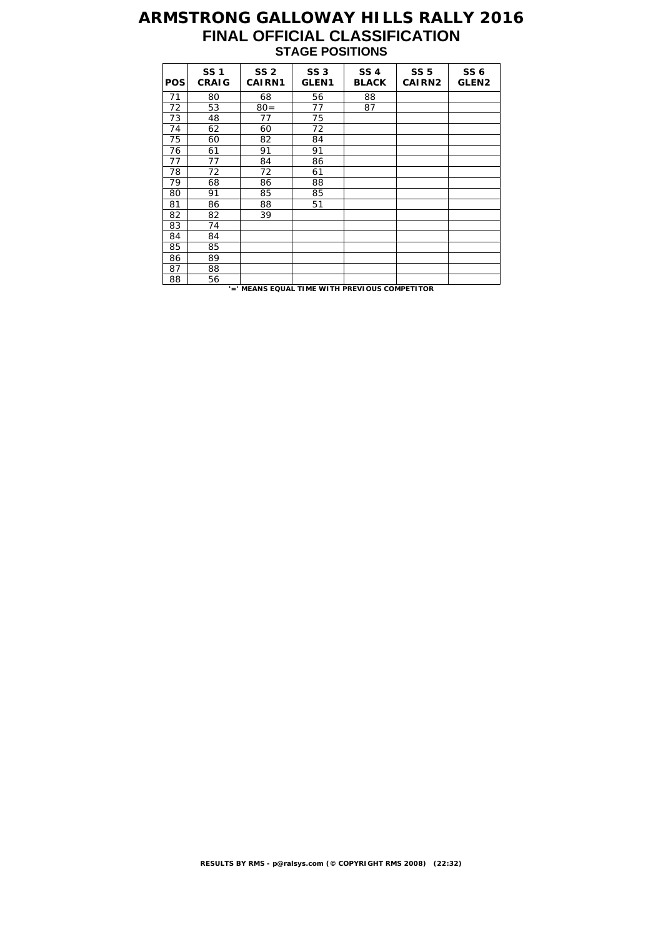# **ARMSTRONG GALLOWAY HILLS RALLY 2016 FINAL OFFICIAL CLASSIFICATION STAGE POSITIONS**

| <b>POS</b> | <b>SS1</b><br><b>CRAIG</b> | <b>SS 2</b><br><b>CAIRN1</b> | <b>SS 3</b><br>GLEN <sub>1</sub> | <b>SS 4</b><br><b>BLACK</b> | <b>SS 5</b><br>CAIRN <sub>2</sub> | <b>SS 6</b><br>GLEN <sub>2</sub> |
|------------|----------------------------|------------------------------|----------------------------------|-----------------------------|-----------------------------------|----------------------------------|
| 71         | 80                         | 68                           | 56                               | 88                          |                                   |                                  |
| 72         | 53                         | $80 =$                       | 77                               | 87                          |                                   |                                  |
| 73         | 48                         | 77                           | 75                               |                             |                                   |                                  |
| 74         | 62                         | 60                           | 72                               |                             |                                   |                                  |
| 75         | 60                         | 82                           | 84                               |                             |                                   |                                  |
| 76         | 61                         | 91                           | 91                               |                             |                                   |                                  |
| 77         | 77                         | 84                           | 86                               |                             |                                   |                                  |
| 78         | 72                         | 72                           | 61                               |                             |                                   |                                  |
| 79         | 68                         | 86                           | 88                               |                             |                                   |                                  |
| 80         | 91                         | 85                           | 85                               |                             |                                   |                                  |
| 81         | 86                         | 88                           | 51                               |                             |                                   |                                  |
| 82         | 82                         | 39                           |                                  |                             |                                   |                                  |
| 83         | 74                         |                              |                                  |                             |                                   |                                  |
| 84         | 84                         |                              |                                  |                             |                                   |                                  |
| 85         | 85                         |                              |                                  |                             |                                   |                                  |
| 86         | 89                         |                              |                                  |                             |                                   |                                  |
| 87         | 88                         |                              |                                  |                             |                                   |                                  |
| 88         | 56                         |                              |                                  |                             |                                   |                                  |

**'=' MEANS EQUAL TIME WITH PREVIOUS COMPETITOR**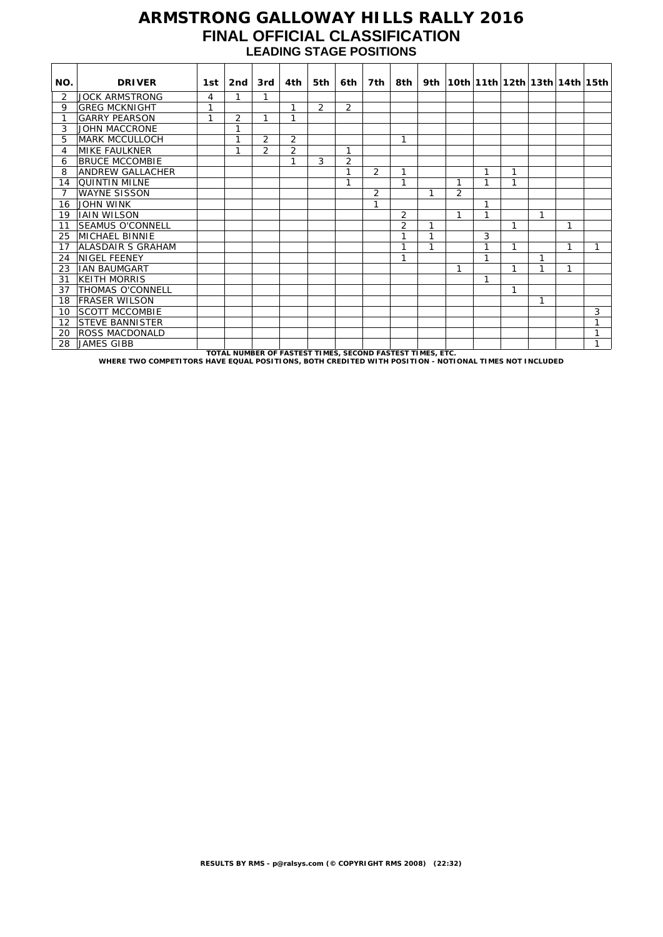#### **ARMSTRONG GALLOWAY HILLS RALLY 2016 FINAL OFFICIAL CLASSIFICATION LEADING STAGE POSITIONS**

| NO.            | <b>DRIVER</b>            | 1st | 2nd                                                     | 3rd            | 4th            | 5th            | 6th            | 7th            | 8th ∣          |   |   |              |   |   |   | 9th   10th   11th   12th   13th   14th   15th |
|----------------|--------------------------|-----|---------------------------------------------------------|----------------|----------------|----------------|----------------|----------------|----------------|---|---|--------------|---|---|---|-----------------------------------------------|
| 2              | <b>JOCK ARMSTRONG</b>    | 4   | 1                                                       | 1              |                |                |                |                |                |   |   |              |   |   |   |                                               |
| 9              | <b>GREG MCKNIGHT</b>     | 1   |                                                         |                | 1              | $\overline{2}$ | $\overline{2}$ |                |                |   |   |              |   |   |   |                                               |
| 1              | <b>GARRY PEARSON</b>     | 1   | 2                                                       | 1              | 1              |                |                |                |                |   |   |              |   |   |   |                                               |
| 3              | JOHN MACCRONE            |     | 1                                                       |                |                |                |                |                |                |   |   |              |   |   |   |                                               |
| 5              | <b>MARK MCCULLOCH</b>    |     | 1                                                       | 2              | $\overline{2}$ |                |                |                | 1              |   |   |              |   |   |   |                                               |
| 4              | <b>MIKE FAULKNER</b>     |     | 1                                                       | $\overline{2}$ | $\overline{2}$ |                | 1              |                |                |   |   |              |   |   |   |                                               |
| 6              | <b>BRUCE MCCOMBIE</b>    |     |                                                         |                | 1              | 3              | $\overline{2}$ |                |                |   |   |              |   |   |   |                                               |
| 8              | <b>ANDREW GALLACHER</b>  |     |                                                         |                |                |                | $\overline{1}$ | $\overline{2}$ | 1              |   |   | 1            | 1 |   |   |                                               |
| 14             | <b>QUINTIN MILNE</b>     |     |                                                         |                |                |                | 1              |                | 1              |   | 1 | 1            | 1 |   |   |                                               |
| $\overline{7}$ | <b>WAYNE SISSON</b>      |     |                                                         |                |                |                |                | $\overline{2}$ |                | 1 | 2 |              |   |   |   |                                               |
| 16             | <b>JOHN WINK</b>         |     |                                                         |                |                |                |                | 1              |                |   |   | 1            |   |   |   |                                               |
| 19             | <b>JAIN WILSON</b>       |     |                                                         |                |                |                |                |                | $\overline{2}$ |   | 1 | 1            |   | 1 |   |                                               |
| 11             | <b>SEAMUS O'CONNELL</b>  |     |                                                         |                |                |                |                |                | $\overline{2}$ | 1 |   |              | 1 |   | 1 |                                               |
| 25             | MICHAEL BINNIE           |     |                                                         |                |                |                |                |                | 1              | 1 |   | 3            |   |   |   |                                               |
| 17             | <b>ALASDAIR S GRAHAM</b> |     |                                                         |                |                |                |                |                |                | 1 |   | 1            | 1 |   | 1 | 1                                             |
| 24             | <b>NIGEL FEENEY</b>      |     |                                                         |                |                |                |                |                | и              |   |   | $\mathbf{1}$ |   | 1 |   |                                               |
| 23             | <b>IAN BAUMGART</b>      |     |                                                         |                |                |                |                |                |                |   | 1 |              |   |   | 1 |                                               |
| 31             | <b>KEITH MORRIS</b>      |     |                                                         |                |                |                |                |                |                |   |   | 1            |   |   |   |                                               |
| 37             | <b>THOMAS O'CONNELL</b>  |     |                                                         |                |                |                |                |                |                |   |   |              | 1 |   |   |                                               |
| 18             | <b>FRASER WILSON</b>     |     |                                                         |                |                |                |                |                |                |   |   |              |   | 1 |   |                                               |
| 10             | <b>SCOTT MCCOMBIE</b>    |     |                                                         |                |                |                |                |                |                |   |   |              |   |   |   | 3                                             |
| 12             | <b>STEVE BANNISTER</b>   |     |                                                         |                |                |                |                |                |                |   |   |              |   |   |   | 1                                             |
| 20             | ROSS MACDONALD           |     |                                                         |                |                |                |                |                |                |   |   |              |   |   |   | $\mathbf{1}$                                  |
| 28             | <b>JAMES GIBB</b>        |     | TOTAL NUMBED OF EASTEST TIMES SECOND EASTEST TIMES ETC. |                |                |                |                |                |                |   |   |              |   |   |   | 1                                             |

TOTAL NUMBER OF FASTEST TIMES, SECOND FASTEST TIMES, ETC.<br>WHERE TWO COMPETITORS HAVE EQUAL POSITIONS, BOTH CREDITED WITH POSITION - NOTIONAL TIMES NOT INCLUDED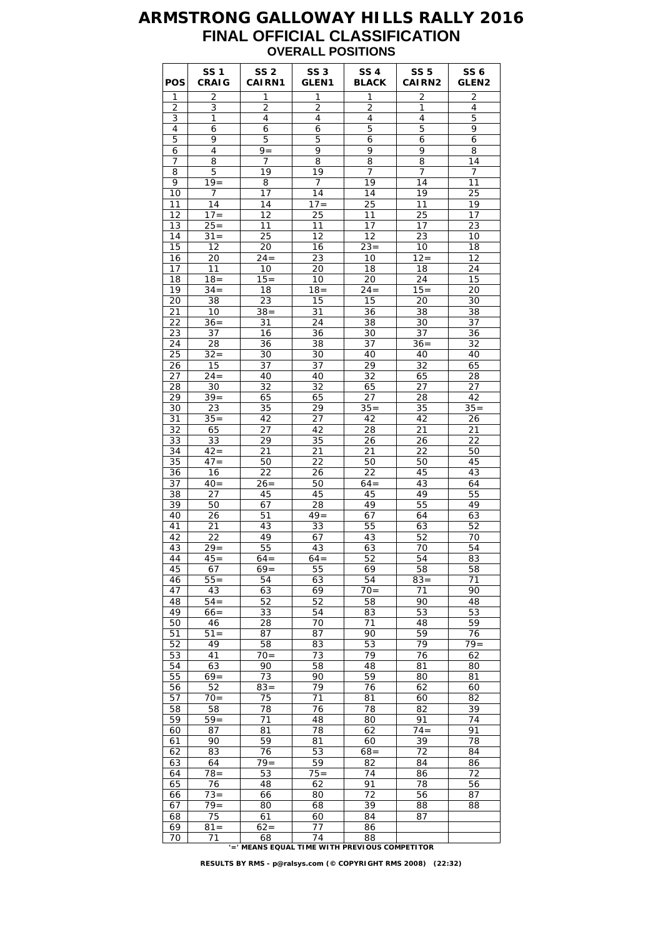#### **ARMSTRONG GALLOWAY HILLS RALLY 2016 FINAL OFFICIAL CLASSIFICATION OVERALL POSITIONS**

| <b>POS</b>     | <b>SS1</b><br><b>CRAIG</b> | SS <sub>2</sub><br>CAIRN1                           | <b>SS 3</b><br><b>GLEN1</b> | SS 4<br><b>BLACK</b> | <b>SS 5</b><br><b>CAIRN2</b> | SS 6<br>GLEN <sub>2</sub> |
|----------------|----------------------------|-----------------------------------------------------|-----------------------------|----------------------|------------------------------|---------------------------|
| 1              | 2                          | 1                                                   | $\mathbf{1}$                | 1                    | $\overline{2}$               | $\overline{2}$            |
| $\overline{2}$ | 3                          | $\overline{2}$                                      | $\overline{2}$              | $\overline{2}$       | 1                            | $\overline{4}$            |
| 3              | 1                          | 4                                                   | 4                           | 4                    | 4                            | 5                         |
| 4              | 6                          | 6                                                   | 6                           | 5                    | 5                            | 9                         |
| 5              | 9                          | 5                                                   | 5                           | 6                    | 6                            | 6                         |
| 6<br>7         | 4<br>8                     | $9 =$<br>$\overline{7}$                             | 9<br>8                      | 9<br>8               | 9<br>8                       | 8<br>14                   |
| 8              | 5                          | 19                                                  | 19                          | 7                    | 7                            | 7                         |
| 9              | $19 =$                     | 8                                                   | 7                           | 19                   | 14                           | 11                        |
| 10             | 7                          | 17                                                  | 14                          | 14                   | 19                           | 25                        |
| 11             | 14                         | 14                                                  | $17 =$                      | 25                   | 11                           | 19                        |
| 12             | $17 =$                     | 12                                                  | 25                          | 11                   | 25                           | 17                        |
| 13             | $25 =$                     | 11                                                  | 11                          | 17                   | 17                           | 23                        |
| 14             | $31 =$                     | 25                                                  | 12                          | 12                   | 23                           | 10                        |
| 15             | 12                         | 20                                                  | 16                          | $23 =$               | 10                           | 18                        |
| 16             | 20                         | $24 =$                                              | 23                          | 10                   | $12 =$                       | 12                        |
| 17             | 11                         | 10                                                  | 20                          | 18                   | 18                           | 24                        |
| 18             | $18 =$                     | $15 =$                                              | 10                          | 20                   | 24                           | 15                        |
| 19<br>20       | $34 =$<br>38               | 18<br>23                                            | $18 =$<br>15                | $24 =$<br>15         | $15 =$<br>20                 | 20<br>30                  |
| 21             | 10                         | $38 =$                                              | 31                          | 36                   | 38                           | 38                        |
| 22             | $36 =$                     | 31                                                  | 24                          | 38                   | 30                           | 37                        |
| 23             | 37                         | 16                                                  | 36                          | 30                   | 37                           | 36                        |
| 24             | 28                         | 36                                                  | 38                          | 37                   | $36=$                        | 32                        |
| 25             | $32 =$                     | 30                                                  | 30                          | 40                   | 40                           | 40                        |
| 26             | 15                         | 37                                                  | 37                          | 29                   | 32                           | 65                        |
| 27             | $24 =$                     | 40                                                  | 40                          | 32                   | 65                           | 28                        |
| 28             | 30                         | 32                                                  | 32                          | 65                   | 27                           | 27                        |
| 29             | $39 =$                     | 65                                                  | 65                          | 27                   | 28                           | 42                        |
| 30             | 23                         | 35                                                  | 29                          | $35 =$               | 35                           | $35 =$                    |
| 31             | $35 =$                     | 42                                                  | 27                          | 42                   | 42                           | 26                        |
| 32             | 65                         | 27                                                  | 42                          | 28                   | 21                           | 21                        |
| 33<br>34       | 33<br>$42 =$               | 29<br>21                                            | 35<br>21                    | 26<br>21             | 26<br>22                     | 22<br>50                  |
| 35             | $47 =$                     | 50                                                  | 22                          | 50                   | 50                           | 45                        |
| 36             | 16                         | 22                                                  | 26                          | 22                   | 45                           | 43                        |
| 37             | $40=$                      | $26=$                                               | 50                          | $64=$                | 43                           | 64                        |
| 38             | 27                         | 45                                                  | 45                          | 45                   | 49                           | 55                        |
| 39             | 50                         | 67                                                  | 28                          | 49                   | 55                           | 49                        |
| 40             | 26                         | 51                                                  | $49 =$                      | 67                   | 64                           | 63                        |
| 41             | 21                         | 43                                                  | 33                          | 55                   | 63                           | 52                        |
| 42             | 22                         | 49                                                  | 67                          | 43                   | 52                           | 70                        |
| 43             | $29 =$                     | 55                                                  | 43                          | 63                   | 70                           | 54                        |
| 44             | $45=$                      | 64 =                                                | $64=$                       | 52                   | 54                           | 83                        |
| 45             | 67                         | $69=$                                               | 55                          | 69                   | 58                           | 58                        |
| 46<br>47       | $55 =$<br>43               | 54<br>63                                            | 63                          | 54<br>$70=$          | $83 =$<br>71                 | 71<br>90                  |
| 48             | $54 =$                     | 52                                                  | 69<br>52                    | 58                   | 90                           | 48                        |
| 49             | $66 =$                     | 33                                                  | 54                          | 83                   | 53                           | 53                        |
| 50             | 46                         | 28                                                  | 70                          | 71                   | 48                           | 59                        |
| 51             | $51 =$                     | 87                                                  | 87                          | 90                   | 59                           | 76                        |
| 52             | 49                         | 58                                                  | 83                          | 53                   | 79                           | $79 =$                    |
| 53             | 41                         | $70 =$                                              | 73                          | 79                   | 76                           | 62                        |
| 54             | 63                         | 90                                                  | 58                          | 48                   | 81                           | 80                        |
| 55             | $69=$                      | 73                                                  | 90                          | 59                   | 80                           | 81                        |
| 56             | 52                         | $83 =$                                              | 79                          | 76                   | 62                           | 60                        |
| 57             | $70 =$                     | 75                                                  | 71                          | 81                   | 60                           | 82                        |
| 58             | 58                         | 78                                                  | 76                          | 78                   | 82                           | 39                        |
| 59             | $59=$                      | 71                                                  | 48                          | 80                   | 91                           | 74                        |
| 60<br>61       | 87<br>90                   | 81<br>59                                            | 78<br>81                    | 62<br>60             | $74 =$<br>39                 | 91<br>78                  |
| 62             | 83                         | 76                                                  | 53                          | $68 =$               | 72                           | 84                        |
| 63             | 64                         | $79 =$                                              | 59                          | 82                   | 84                           | 86                        |
| 64             | $78 =$                     | 53                                                  | $75 =$                      | 74                   | 86                           | 72                        |
| 65             | 76                         | 48                                                  | 62                          | 91                   | 78                           | 56                        |
| 66             | $73 =$                     | 66                                                  | 80                          | 72                   | 56                           | 87                        |
| 67             | $79 =$                     | 80                                                  | 68                          | 39                   | 88                           | 88                        |
| 68             | 75                         | 61                                                  | 60                          | 84                   | 87                           |                           |
| 69             | $81 =$                     | $62=$                                               | 77                          | 86                   |                              |                           |
| 70             | 71                         | 68<br>'=' MEANS EQUAL TIME WITH PREVIOUS COMPETITOR | 74                          | 88                   |                              |                           |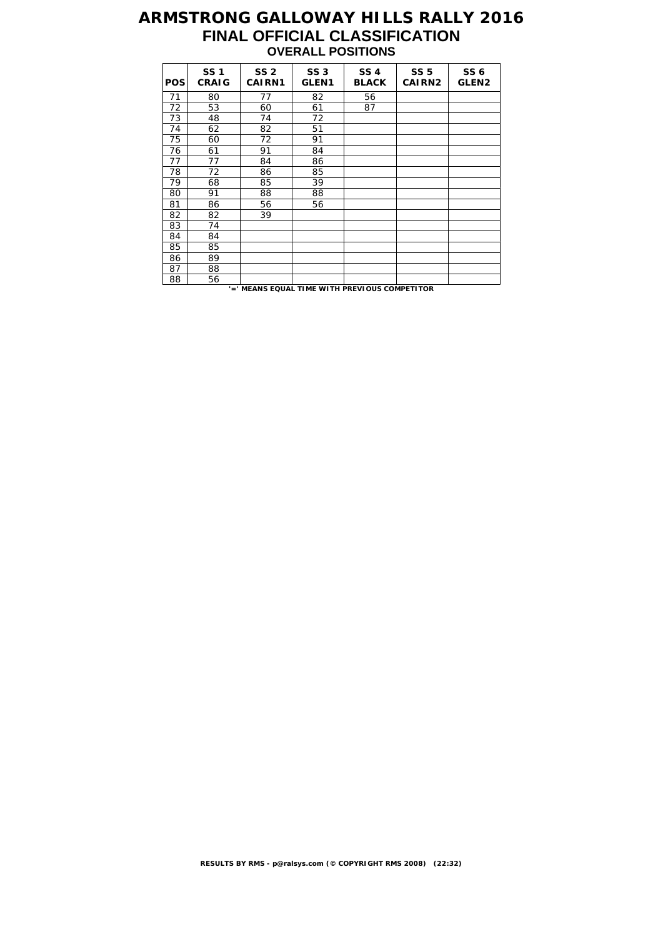# **ARMSTRONG GALLOWAY HILLS RALLY 2016 FINAL OFFICIAL CLASSIFICATION OVERALL POSITIONS**

| <b>POS</b> | <b>SS1</b><br><b>CRAIG</b> | SS <sub>2</sub><br><b>CAIRN1</b> | <b>SS 3</b><br>GLEN <sub>1</sub> | <b>SS4</b><br><b>BLACK</b> | <b>SS 5</b><br><b>CAIRN2</b> | SS <sub>6</sub><br><b>GLEN2</b> |
|------------|----------------------------|----------------------------------|----------------------------------|----------------------------|------------------------------|---------------------------------|
| 71         | 80                         | 77                               | 82                               | 56                         |                              |                                 |
| 72         | 53                         | 60                               | 61                               | 87                         |                              |                                 |
| 73         | 48                         | 74                               | 72                               |                            |                              |                                 |
| 74         | 62                         | 82                               | 51                               |                            |                              |                                 |
| 75         | 60                         | 72                               | 91                               |                            |                              |                                 |
| 76         | 61                         | 91                               | 84                               |                            |                              |                                 |
| 77         | 77                         | 84                               | 86                               |                            |                              |                                 |
| 78         | 72                         | 86                               | 85                               |                            |                              |                                 |
| 79         | 68                         | 85                               | 39                               |                            |                              |                                 |
| 80         | 91                         | 88                               | 88                               |                            |                              |                                 |
| 81         | 86                         | 56                               | 56                               |                            |                              |                                 |
| 82         | 82                         | 39                               |                                  |                            |                              |                                 |
| 83         | 74                         |                                  |                                  |                            |                              |                                 |
| 84         | 84                         |                                  |                                  |                            |                              |                                 |
| 85         | 85                         |                                  |                                  |                            |                              |                                 |
| 86         | 89                         |                                  |                                  |                            |                              |                                 |
| 87         | 88                         |                                  |                                  |                            |                              |                                 |
| 88         | 56                         |                                  |                                  |                            |                              |                                 |

**'=' MEANS EQUAL TIME WITH PREVIOUS COMPETITOR**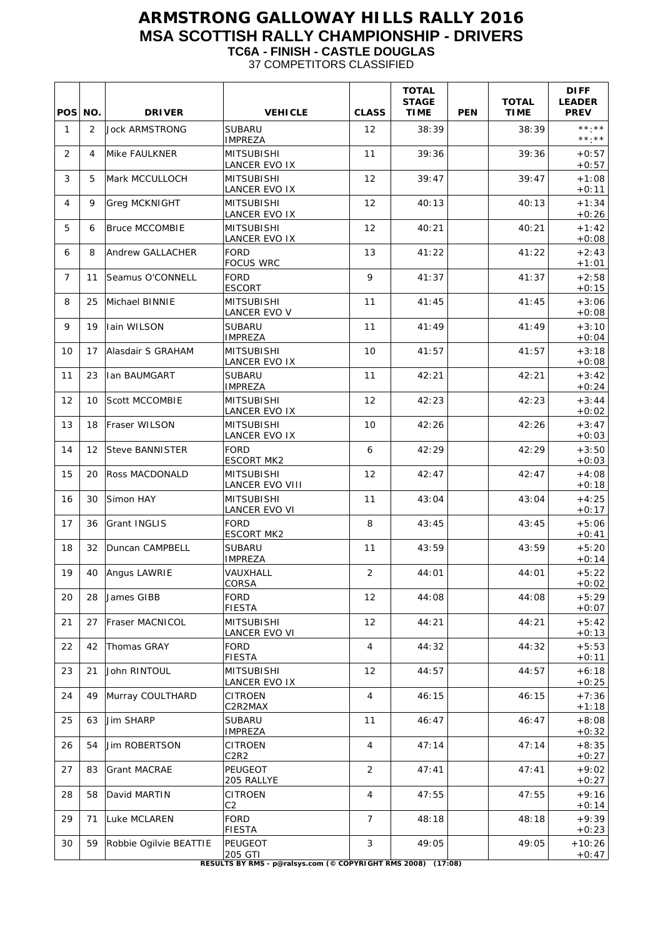#### **ARMSTRONG GALLOWAY HILLS RALLY 2016 MSA SCOTTISH RALLY CHAMPIONSHIP - DRIVERS TC6A - FINISH - CASTLE DOUGLAS** 37 COMPETITORS CLASSIFIED

| POS NO.           |    | <b>DRIVER</b>           | <b>VEHICLE</b>                                                                             | <b>CLASS</b>   | <b>TOTAL</b><br><b>STAGE</b><br><b>TIME</b> | <b>PEN</b> | <b>TOTAL</b><br><b>TIME</b> | <b>DIFF</b><br><b>LEADER</b><br><b>PREV</b> |
|-------------------|----|-------------------------|--------------------------------------------------------------------------------------------|----------------|---------------------------------------------|------------|-----------------------------|---------------------------------------------|
| $\mathbf{1}$      | 2  | <b>Jock ARMSTRONG</b>   | <b>SUBARU</b><br><b>IMPREZA</b>                                                            | 12             | 38:39                                       |            | 38:39                       | **.**<br>$\star\star.\;\star\star$          |
| 2                 | 4  | Mike FAULKNER           | <b>MITSUBISHI</b><br>LANCER EVO IX                                                         | 11             | 39:36                                       |            | 39:36                       | $+0:57$<br>$+0:57$                          |
| 3                 | 5  | Mark MCCULLOCH          | <b>MITSUBISHI</b><br><b>LANCER EVO IX</b>                                                  | 12             | 39:47                                       |            | 39:47                       | $+1:08$<br>$+0:11$                          |
| 4                 | 9  | Greg MCKNIGHT           | <b>MITSUBISHI</b><br><b>LANCER EVO IX</b>                                                  | 12             | 40:13                                       |            | 40:13                       | $+1:34$<br>$+0:26$                          |
| 5                 | 6  | <b>Bruce MCCOMBIE</b>   | <b>MITSUBISHI</b><br>LANCER EVO IX                                                         | 12             | 40:21                                       |            | 40:21                       | $+1:42$<br>$+0:08$                          |
| 6                 | 8  | <b>Andrew GALLACHER</b> | <b>FORD</b><br><b>FOCUS WRC</b>                                                            | 13             | 41:22                                       |            | 41:22                       | $+2:43$<br>$+1:01$                          |
| $\overline{7}$    | 11 | Seamus O'CONNELL        | <b>FORD</b><br><b>ESCORT</b>                                                               | 9              | 41:37                                       |            | 41:37                       | $+2:58$<br>$+0:15$                          |
| 8                 | 25 | Michael BINNIE          | <b>MITSUBISHI</b><br><b>LANCER EVO V</b>                                                   | 11             | 41:45                                       |            | 41:45                       | $+3:06$<br>$+0:08$                          |
| 9                 | 19 | <b>Iain WILSON</b>      | <b>SUBARU</b><br><b>IMPREZA</b>                                                            | 11             | 41:49                                       |            | 41:49                       | $+3:10$<br>$+0:04$                          |
| 10                | 17 | Alasdair S GRAHAM       | <b>MITSUBISHI</b><br>LANCER EVO IX                                                         | 10             | 41:57                                       |            | 41:57                       | $+3:18$<br>$+0:08$                          |
| 11                | 23 | <b>Ian BAUMGART</b>     | <b>SUBARU</b><br><b>IMPREZA</b>                                                            | 11             | 42:21                                       |            | 42:21                       | $+3:42$<br>$+0:24$                          |
| $12 \overline{ }$ | 10 | <b>Scott MCCOMBIE</b>   | <b>MITSUBISHI</b><br>LANCER EVO IX                                                         | 12             | 42:23                                       |            | 42:23                       | $+3:44$<br>$+0:02$                          |
| 13                | 18 | Fraser WILSON           | MITSUBISHI<br><b>LANCER EVO IX</b>                                                         | 10             | 42:26                                       |            | 42:26                       | $+3:47$<br>$+0:03$                          |
| 14                | 12 | Steve BANNISTER         | <b>FORD</b><br><b>ESCORT MK2</b>                                                           | 6              | 42:29                                       |            | 42:29                       | $+3:50$<br>$+0:03$                          |
| 15                | 20 | Ross MACDONALD          | <b>MITSUBISHI</b><br><b>LANCER EVO VIII</b>                                                | 12             | 42:47                                       |            | 42:47                       | $+4:08$<br>$+0:18$                          |
| 16                | 30 | Simon HAY               | <b>MITSUBISHI</b><br>LANCER EVO VI                                                         | 11             | 43:04                                       |            | 43:04                       | $+4:25$<br>$+0:17$                          |
| 17                | 36 | <b>Grant INGLIS</b>     | <b>FORD</b><br><b>ESCORT MK2</b>                                                           | 8              | 43:45                                       |            | 43:45                       | $+5:06$<br>$+0:41$                          |
| 18                | 32 | Duncan CAMPBELL         | <b>SUBARU</b><br><b>IMPREZA</b>                                                            | 11             | 43:59                                       |            | 43:59                       | $+5:20$<br>$+0:14$                          |
| 19                | 40 | Angus LAWRIE            | VAUXHALL<br>CORSA                                                                          | $\mathcal{P}$  | 44:01                                       |            | 44:01                       | $+5:22$<br>$+0:02$                          |
| 20                | 28 | James GIBB              | <b>FORD</b><br>FIESTA                                                                      | 12             | 44:08                                       |            | 44:08                       | $+5:29$<br>$+0:07$                          |
| 21                | 27 | Fraser MACNICOL         | <b>MITSUBISHI</b><br>LANCER EVO VI                                                         | 12             | 44:21                                       |            | 44:21                       | $+5:42$<br>$+0:13$                          |
| 22                | 42 | Thomas GRAY             | <b>FORD</b><br><b>FIESTA</b>                                                               | $\overline{4}$ | 44:32                                       |            | 44:32                       | $+5:53$<br>$+0:11$                          |
| 23                | 21 | John RINTOUL            | <b>MITSUBISHI</b><br>LANCER EVO IX                                                         | 12             | 44:57                                       |            | 44:57                       | $+6:18$<br>$+0:25$                          |
| 24                | 49 | Murray COULTHARD        | <b>CITROEN</b><br>C2R2MAX                                                                  | $\overline{4}$ | 46:15                                       |            | 46:15                       | $+7:36$<br>$+1:18$                          |
| 25                | 63 | Jim SHARP               | <b>SUBARU</b><br><b>IMPREZA</b>                                                            | 11             | 46:47                                       |            | 46:47                       | $+8:08$<br>$+0:32$                          |
| 26                | 54 | Jim ROBERTSON           | <b>CITROEN</b><br>C2R2                                                                     | $\overline{4}$ | 47:14                                       |            | 47:14                       | $+8:35$<br>$+0.27$                          |
| 27                | 83 | <b>Grant MACRAE</b>     | PEUGEOT<br>205 RALLYE                                                                      | 2              | 47:41                                       |            | 47:41                       | $+9:02$<br>$+0:27$                          |
| 28                | 58 | David MARTIN            | <b>CITROEN</b><br>C <sub>2</sub>                                                           | $\overline{4}$ | 47:55                                       |            | 47:55                       | $+9:16$<br>$+0:14$                          |
| 29                | 71 | Luke MCLAREN            | <b>FORD</b><br>FIESTA                                                                      | $\overline{7}$ | 48:18                                       |            | 48:18                       | $+9:39$<br>$+0:23$                          |
| 30                | 59 | Robbie Ogilvie BEATTIE  | PEUGEOT<br>205 GTI<br><b>DESILLTS BY DMS</b> - p@ralsys.com (@ CODVDICHT DMS 2008) (17:08) | 3              | 49:05                                       |            | 49:05                       | $+10:26$<br>$+0:47$                         |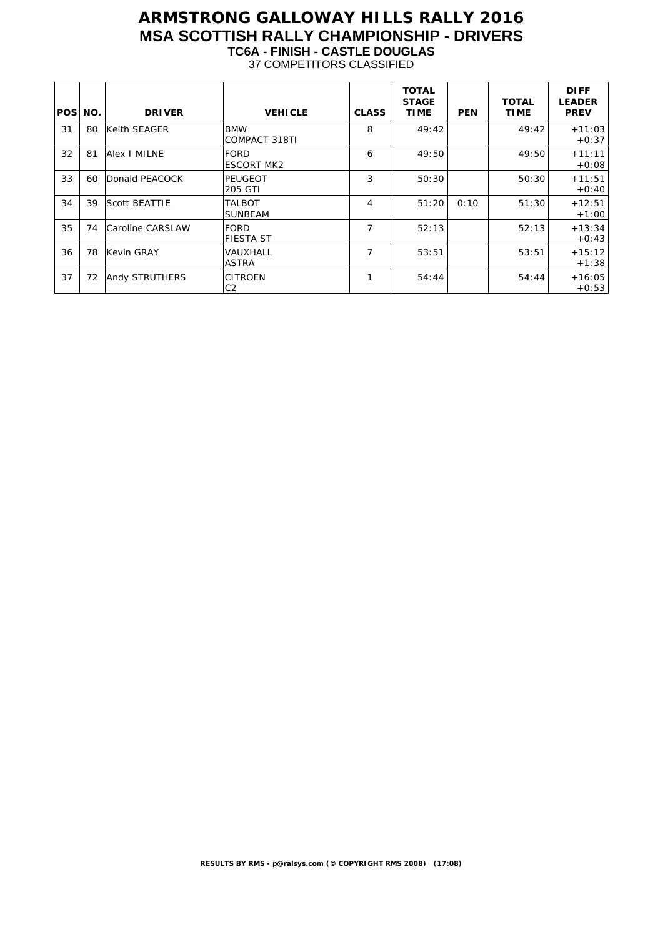#### **ARMSTRONG GALLOWAY HILLS RALLY 2016 MSA SCOTTISH RALLY CHAMPIONSHIP - DRIVERS TC6A - FINISH - CASTLE DOUGLAS** 37 COMPETITORS CLASSIFIED

| POS NO. |    | <b>DRIVER</b>         | <b>VEHICLE</b>                     | <b>CLASS</b>   | <b>TOTAL</b><br><b>STAGE</b><br><b>TIME</b> | <b>PEN</b> | <b>TOTAL</b><br><b>TIME</b> | <b>DIFF</b><br><b>LEADER</b><br><b>PREV</b> |
|---------|----|-----------------------|------------------------------------|----------------|---------------------------------------------|------------|-----------------------------|---------------------------------------------|
| 31      | 80 | Keith SEAGER          | <b>BMW</b><br><b>COMPACT 318TI</b> | 8              | 49:42                                       |            | 49:42                       | $+11:03$<br>$+0.37$                         |
| 32      | 81 | Alex I MILNE          | <b>FORD</b><br><b>ESCORT MK2</b>   | 6              | 49:50                                       |            | 49:50                       | $+11:11$<br>$+0:08$                         |
| 33      | 60 | Donald PEACOCK        | PEUGEOT<br>205 GTI                 | 3              | 50:30                                       |            | 50:30                       | $+11:51$<br>$+0:40$                         |
| 34      | 39 | <b>Scott BEATTIE</b>  | TALBOT<br><b>SUNBEAM</b>           | $\overline{4}$ | 51:20                                       | 0:10       | 51:30                       | $+12:51$<br>$+1:00$                         |
| 35      | 74 | Caroline CARSLAW      | FORD<br><b>FIESTA ST</b>           | $\overline{7}$ | 52:13                                       |            | 52:13                       | $+13:34$<br>$+0:43$                         |
| 36      | 78 | Kevin GRAY            | VAUXHALL<br><b>ASTRA</b>           | $\overline{7}$ | 53:51                                       |            | 53:51                       | $+15:12$<br>$+1:38$                         |
| 37      | 72 | <b>Andy STRUTHERS</b> | <b>CITROEN</b><br>C2               | 1              | 54:44                                       |            | 54:44                       | $+16:05$<br>$+0.53$                         |